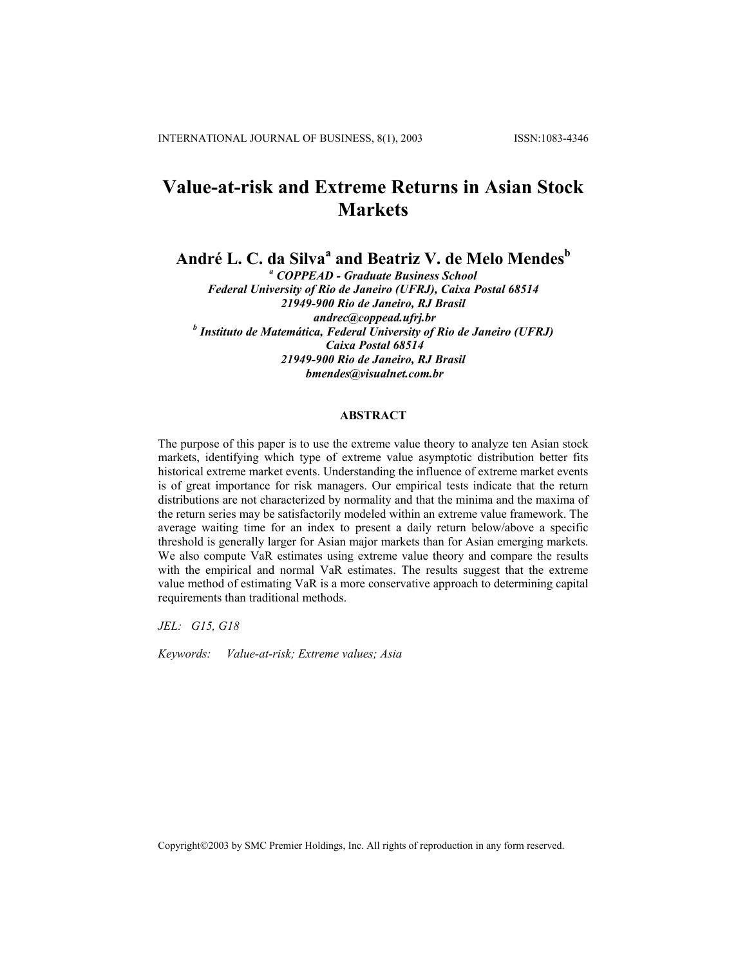# **Value-at-risk and Extreme Returns in Asian Stock Markets**

**André L. C. da Silva<sup>a</sup> and Beatriz V. de Melo Mendes<sup>b</sup>**

*a COPPEAD - Graduate Business School Federal University of Rio de Janeiro (UFRJ), Caixa Postal 68514 21949-900 Rio de Janeiro, RJ Brasil andrec@coppead.ufrj.br b Instituto de Matemática, Federal University of Rio de Janeiro (UFRJ) Caixa Postal 68514 21949-900 Rio de Janeiro, RJ Brasil bmendes@visualnet.com.br* 

# **ABSTRACT**

The purpose of this paper is to use the extreme value theory to analyze ten Asian stock markets, identifying which type of extreme value asymptotic distribution better fits historical extreme market events. Understanding the influence of extreme market events is of great importance for risk managers. Our empirical tests indicate that the return distributions are not characterized by normality and that the minima and the maxima of the return series may be satisfactorily modeled within an extreme value framework. The average waiting time for an index to present a daily return below/above a specific threshold is generally larger for Asian major markets than for Asian emerging markets. We also compute VaR estimates using extreme value theory and compare the results with the empirical and normal VaR estimates. The results suggest that the extreme value method of estimating VaR is a more conservative approach to determining capital requirements than traditional methods.

*JEL: G15, G18* 

*Keywords: Value-at-risk; Extreme values; Asia* 

Copyright©2003 by SMC Premier Holdings, Inc. All rights of reproduction in any form reserved.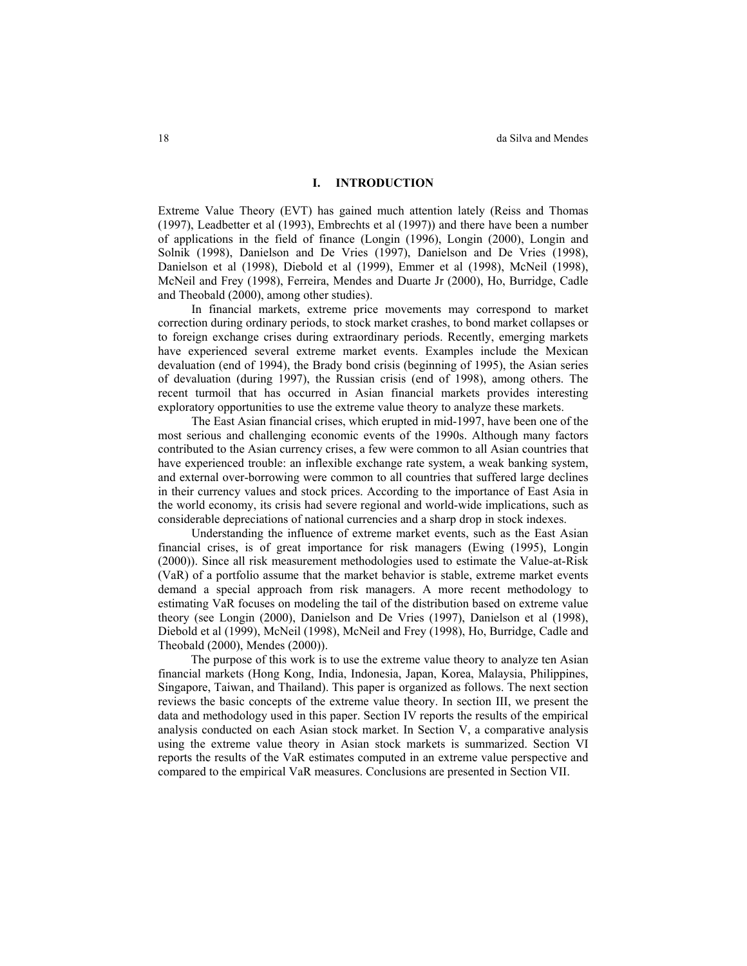# **I. INTRODUCTION**

Extreme Value Theory (EVT) has gained much attention lately (Reiss and Thomas (1997), Leadbetter et al (1993), Embrechts et al (1997)) and there have been a number of applications in the field of finance (Longin (1996), Longin (2000), Longin and Solnik (1998), Danielson and De Vries (1997), Danielson and De Vries (1998), Danielson et al (1998), Diebold et al (1999), Emmer et al (1998), McNeil (1998), McNeil and Frey (1998), Ferreira, Mendes and Duarte Jr (2000), Ho, Burridge, Cadle and Theobald (2000), among other studies).

In financial markets, extreme price movements may correspond to market correction during ordinary periods, to stock market crashes, to bond market collapses or to foreign exchange crises during extraordinary periods. Recently, emerging markets have experienced several extreme market events. Examples include the Mexican devaluation (end of 1994), the Brady bond crisis (beginning of 1995), the Asian series of devaluation (during 1997), the Russian crisis (end of 1998), among others. The recent turmoil that has occurred in Asian financial markets provides interesting exploratory opportunities to use the extreme value theory to analyze these markets.

The East Asian financial crises, which erupted in mid-1997, have been one of the most serious and challenging economic events of the 1990s. Although many factors contributed to the Asian currency crises, a few were common to all Asian countries that have experienced trouble: an inflexible exchange rate system, a weak banking system, and external over-borrowing were common to all countries that suffered large declines in their currency values and stock prices. According to the importance of East Asia in the world economy, its crisis had severe regional and world-wide implications, such as considerable depreciations of national currencies and a sharp drop in stock indexes.

Understanding the influence of extreme market events, such as the East Asian financial crises, is of great importance for risk managers (Ewing (1995), Longin (2000)). Since all risk measurement methodologies used to estimate the Value-at-Risk (VaR) of a portfolio assume that the market behavior is stable, extreme market events demand a special approach from risk managers. A more recent methodology to estimating VaR focuses on modeling the tail of the distribution based on extreme value theory (see Longin (2000), Danielson and De Vries (1997), Danielson et al (1998), Diebold et al (1999), McNeil (1998), McNeil and Frey (1998), Ho, Burridge, Cadle and Theobald (2000), Mendes (2000)).

The purpose of this work is to use the extreme value theory to analyze ten Asian financial markets (Hong Kong, India, Indonesia, Japan, Korea, Malaysia, Philippines, Singapore, Taiwan, and Thailand). This paper is organized as follows. The next section reviews the basic concepts of the extreme value theory. In section III, we present the data and methodology used in this paper. Section IV reports the results of the empirical analysis conducted on each Asian stock market. In Section V, a comparative analysis using the extreme value theory in Asian stock markets is summarized. Section VI reports the results of the VaR estimates computed in an extreme value perspective and compared to the empirical VaR measures. Conclusions are presented in Section VII.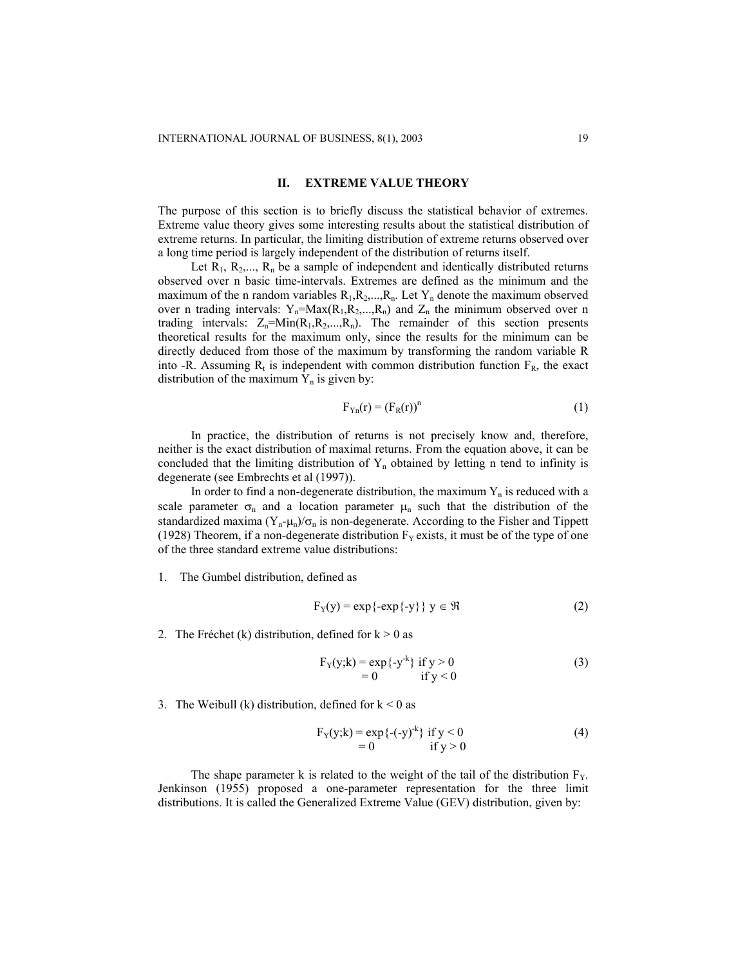#### **II. EXTREME VALUE THEORY**

The purpose of this section is to briefly discuss the statistical behavior of extremes. Extreme value theory gives some interesting results about the statistical distribution of extreme returns. In particular, the limiting distribution of extreme returns observed over a long time period is largely independent of the distribution of returns itself.

Let  $R_1, R_2, \ldots, R_n$  be a sample of independent and identically distributed returns observed over n basic time-intervals. Extremes are defined as the minimum and the maximum of the n random variables  $R_1, R_2, \ldots, R_n$ . Let  $Y_n$  denote the maximum observed over n trading intervals:  $Y_n = Max(R_1, R_2, ..., R_n)$  and  $Z_n$  the minimum observed over n trading intervals:  $Z_n = Min(R_1, R_2, ..., R_n)$ . The remainder of this section presents theoretical results for the maximum only, since the results for the minimum can be directly deduced from those of the maximum by transforming the random variable R into -R. Assuming  $R_t$  is independent with common distribution function  $F_R$ , the exact distribution of the maximum  $Y_n$  is given by:

$$
F_{Yn}(r) = (F_R(r))^n
$$
 (1)

In practice, the distribution of returns is not precisely know and, therefore, neither is the exact distribution of maximal returns. From the equation above, it can be concluded that the limiting distribution of  $Y_n$  obtained by letting n tend to infinity is degenerate (see Embrechts et al (1997)).

In order to find a non-degenerate distribution, the maximum  $Y_n$  is reduced with a scale parameter  $\sigma_n$  and a location parameter  $\mu_n$  such that the distribution of the standardized maxima  $(Y_n - \mu_n)/\sigma_n$  is non-degenerate. According to the Fisher and Tippett (1928) Theorem, if a non-degenerate distribution  $F<sub>Y</sub>$  exists, it must be of the type of one of the three standard extreme value distributions:

1. The Gumbel distribution, defined as

$$
F_Y(y) = \exp\{-\exp\{-y\}\} \ y \in \Re \tag{2}
$$

2. The Fréchet (k) distribution, defined for  $k > 0$  as

$$
F_Y(y;k) = \exp\{-y^k\} \text{ if } y > 0
$$
  
= 0 if y < 0 (3)

3. The Weibull (k) distribution, defined for  $k < 0$  as

FY(y;k) = exp{-(-y)-k} if y < 0 (4) = 0 if y > 0

The shape parameter k is related to the weight of the tail of the distribution  $F_Y$ . Jenkinson (1955) proposed a one-parameter representation for the three limit distributions. It is called the Generalized Extreme Value (GEV) distribution, given by: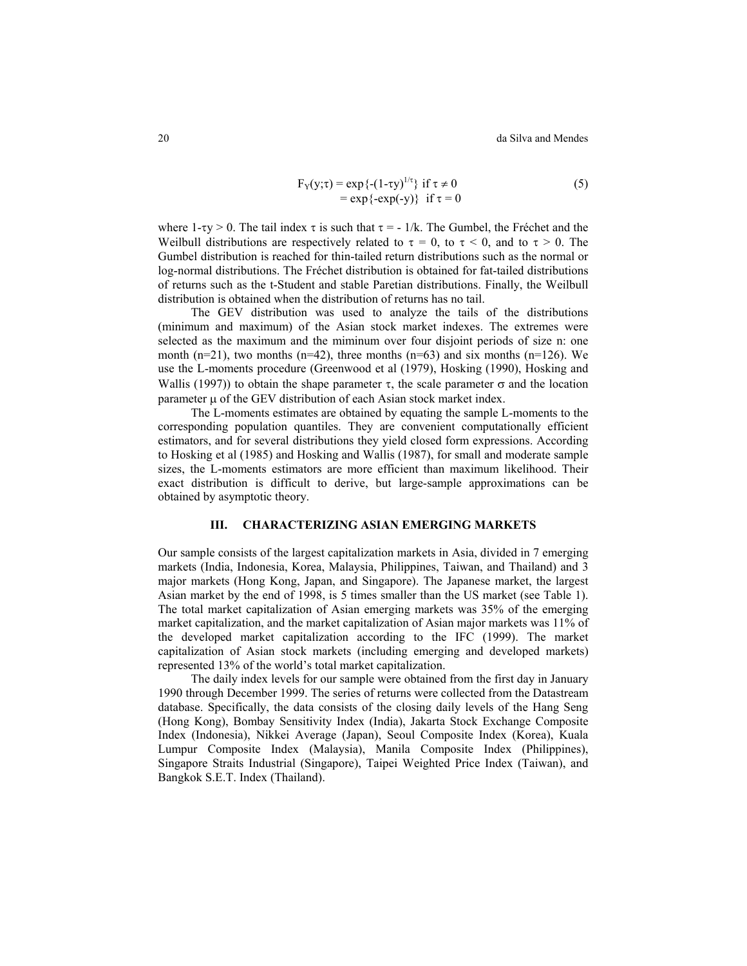$$
F_Y(y;\tau) = \exp\{- (1-\tau y)^{1/\tau}\} \text{ if } \tau \neq 0
$$
  
=  $\exp\{-\exp(-y)\} \text{ if } \tau = 0$  (5)

where 1-τy > 0. The tail index  $\tau$  is such that  $\tau = -1/k$ . The Gumbel, the Fréchet and the Weilbull distributions are respectively related to  $\tau = 0$ , to  $\tau < 0$ , and to  $\tau > 0$ . The Gumbel distribution is reached for thin-tailed return distributions such as the normal or log-normal distributions. The Fréchet distribution is obtained for fat-tailed distributions of returns such as the t-Student and stable Paretian distributions. Finally, the Weilbull distribution is obtained when the distribution of returns has no tail.

The GEV distribution was used to analyze the tails of the distributions (minimum and maximum) of the Asian stock market indexes. The extremes were selected as the maximum and the miminum over four disjoint periods of size n: one month (n=21), two months (n=42), three months (n=63) and six months (n=126). We use the L-moments procedure (Greenwood et al (1979), Hosking (1990), Hosking and Wallis (1997)) to obtain the shape parameter  $\tau$ , the scale parameter  $\sigma$  and the location parameter  $\mu$  of the GEV distribution of each Asian stock market index.

The L-moments estimates are obtained by equating the sample L-moments to the corresponding population quantiles. They are convenient computationally efficient estimators, and for several distributions they yield closed form expressions. According to Hosking et al (1985) and Hosking and Wallis (1987), for small and moderate sample sizes, the L-moments estimators are more efficient than maximum likelihood. Their exact distribution is difficult to derive, but large-sample approximations can be obtained by asymptotic theory.

#### **III. CHARACTERIZING ASIAN EMERGING MARKETS**

Our sample consists of the largest capitalization markets in Asia, divided in 7 emerging markets (India, Indonesia, Korea, Malaysia, Philippines, Taiwan, and Thailand) and 3 major markets (Hong Kong, Japan, and Singapore). The Japanese market, the largest Asian market by the end of 1998, is 5 times smaller than the US market (see Table 1). The total market capitalization of Asian emerging markets was 35% of the emerging market capitalization, and the market capitalization of Asian major markets was 11% of the developed market capitalization according to the IFC (1999). The market capitalization of Asian stock markets (including emerging and developed markets) represented 13% of the world's total market capitalization.

The daily index levels for our sample were obtained from the first day in January 1990 through December 1999. The series of returns were collected from the Datastream database. Specifically, the data consists of the closing daily levels of the Hang Seng (Hong Kong), Bombay Sensitivity Index (India), Jakarta Stock Exchange Composite Index (Indonesia), Nikkei Average (Japan), Seoul Composite Index (Korea), Kuala Lumpur Composite Index (Malaysia), Manila Composite Index (Philippines), Singapore Straits Industrial (Singapore), Taipei Weighted Price Index (Taiwan), and Bangkok S.E.T. Index (Thailand).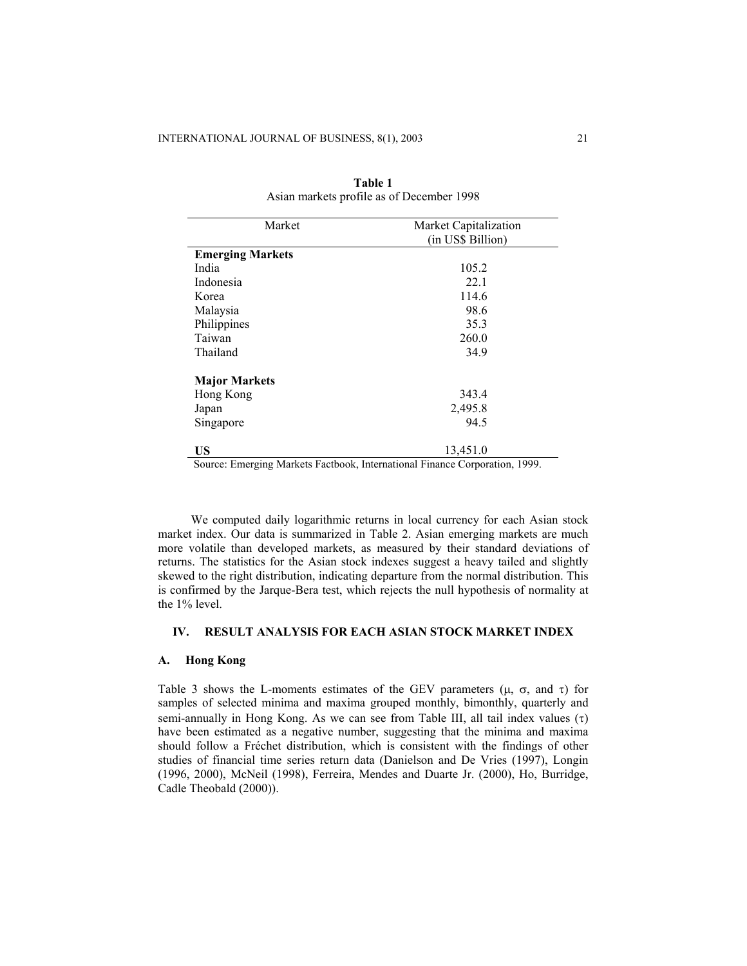| Market                  | Market Capitalization<br>(in US\$ Billion) |
|-------------------------|--------------------------------------------|
|                         |                                            |
| <b>Emerging Markets</b> |                                            |
| India                   | 105.2                                      |
| Indonesia               | 221                                        |
| Korea                   | 114.6                                      |
| Malaysia                | 98.6                                       |
| Philippines             | 35.3                                       |
| Taiwan                  | 260.0                                      |
| Thailand                | 34.9                                       |
| <b>Major Markets</b>    |                                            |
| Hong Kong               | 343.4                                      |
| Japan                   | 2,495.8                                    |
| Singapore               | 94.5                                       |
| US                      | 13,451.0                                   |

|                                           | Table 1 |  |
|-------------------------------------------|---------|--|
| Asian markets profile as of December 1998 |         |  |

Source: Emerging Markets Factbook, International Finance Corporation, 1999.

We computed daily logarithmic returns in local currency for each Asian stock market index. Our data is summarized in Table 2. Asian emerging markets are much more volatile than developed markets, as measured by their standard deviations of returns. The statistics for the Asian stock indexes suggest a heavy tailed and slightly skewed to the right distribution, indicating departure from the normal distribution. This is confirmed by the Jarque-Bera test, which rejects the null hypothesis of normality at the 1% level.

# **IV. RESULT ANALYSIS FOR EACH ASIAN STOCK MARKET INDEX**

## **A. Hong Kong**

Table 3 shows the L-moments estimates of the GEV parameters ( $\mu$ ,  $\sigma$ , and  $\tau$ ) for samples of selected minima and maxima grouped monthly, bimonthly, quarterly and semi-annually in Hong Kong. As we can see from Table III, all tail index values (τ) have been estimated as a negative number, suggesting that the minima and maxima should follow a Fréchet distribution, which is consistent with the findings of other studies of financial time series return data (Danielson and De Vries (1997), Longin (1996, 2000), McNeil (1998), Ferreira, Mendes and Duarte Jr. (2000), Ho, Burridge, Cadle Theobald (2000)).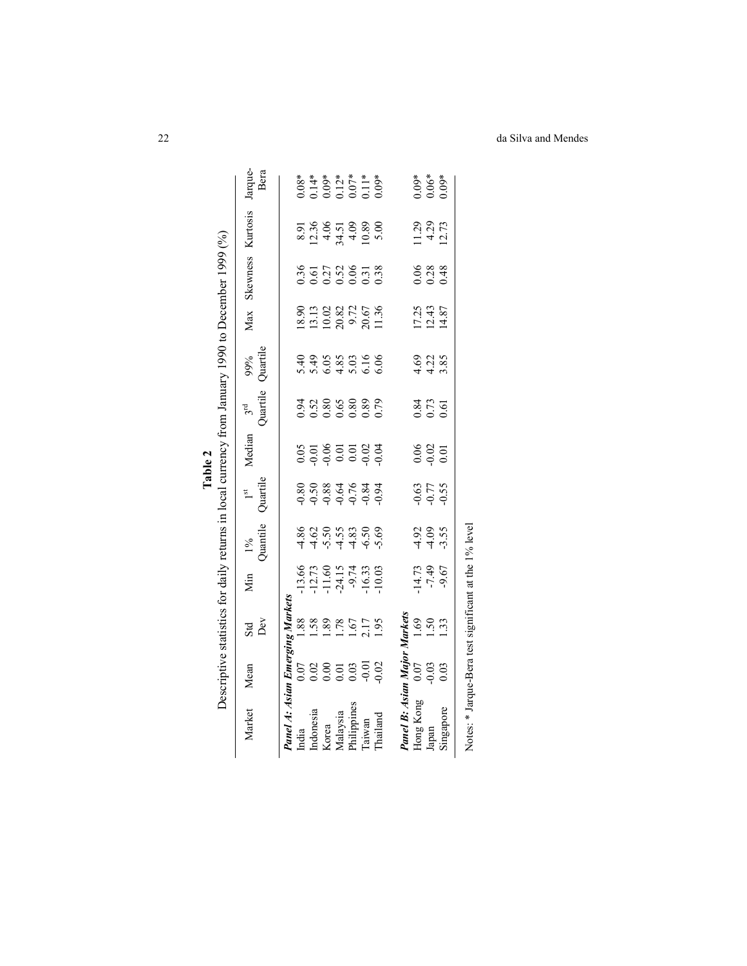| Market                           | Mean                                    | $\frac{3}{2}$                             | Nin                                       | $\frac{1\%}{\text{Quantile}}$                                         | $1st$<br>Quartile       | Median                     | $3rd$<br>Quartile         | 99%<br>Quartile                                   | Max                                             | Skewness                                | Kurtosis                                | Jarque<br>Bera                |
|----------------------------------|-----------------------------------------|-------------------------------------------|-------------------------------------------|-----------------------------------------------------------------------|-------------------------|----------------------------|---------------------------|---------------------------------------------------|-------------------------------------------------|-----------------------------------------|-----------------------------------------|-------------------------------|
| Panel A: Asian Emerging Market   |                                         |                                           |                                           |                                                                       |                         |                            |                           |                                                   |                                                 |                                         |                                         |                               |
| India                            |                                         |                                           |                                           |                                                                       |                         |                            |                           |                                                   |                                                 |                                         |                                         |                               |
| ndonesia                         | 0.02<br>0.03 0.03 0.03<br>0.03 0.03 0.0 | $\frac{88}{1.58}$<br>1.58<br>1.75<br>1.75 | 13.66<br>12.73<br>11.60<br>19.73.19.19.11 | 4 4 4 4 4 6 4<br>8 6 5 6 7 8 9 9<br>8 9 9 9 9 9 9 9                   | 8<br>8884683<br>9884683 |                            | 0.52<br>0.52<br>0.0000000 | 4 4 5 5 5 6 5<br>6 4 5 5 6 5 6 6<br>6 6 4 5 6 6 6 | 18.90<br>11.00.82<br>11.00.00.57<br>20.00.11.36 | 36<br>0.0.136<br>0.0.0.38<br>0.0.0.0.38 | 8<br>8 3 3 5 5 8 8 9<br>8 1 4 7 4 9 9 9 | 8*<br>0.14*<br>0.12*<br>0.12* |
|                                  |                                         |                                           |                                           |                                                                       |                         |                            |                           |                                                   |                                                 |                                         |                                         |                               |
|                                  |                                         |                                           |                                           |                                                                       |                         |                            |                           |                                                   |                                                 |                                         |                                         |                               |
| Korea<br>Malaysia<br>Philippines |                                         |                                           |                                           |                                                                       |                         |                            |                           |                                                   |                                                 |                                         |                                         |                               |
| Taiwan                           |                                         |                                           |                                           |                                                                       |                         |                            |                           |                                                   |                                                 |                                         |                                         |                               |
| Thailand                         |                                         |                                           |                                           |                                                                       |                         |                            |                           |                                                   |                                                 |                                         |                                         |                               |
| <b>Panel B: Asian Major</b>      |                                         | Markets                                   |                                           |                                                                       |                         |                            |                           |                                                   |                                                 |                                         |                                         |                               |
| Hong Kong                        |                                         |                                           |                                           |                                                                       |                         |                            |                           |                                                   |                                                 |                                         |                                         |                               |
|                                  | 0.03<br>0.09<br>0.0                     | <b>9583</b><br>158                        | $\frac{14.73}{7.49}$                      | $\frac{3}{4}$ $\frac{3}{4}$ $\frac{3}{4}$ $\frac{3}{4}$ $\frac{3}{4}$ | 350<br>950<br>950       | $0.06$<br>$0.02$<br>$0.01$ | 0.61<br>0.73<br>0.61      | $rac{6}{4}$ $rac{2}{3}$ $rac{8}{3}$               | 17.25<br>12.43<br>14.87                         | $0.38$<br>$0.48$                        | $1.29$<br>$4.29$<br>$12.73$             | *ۋ0:<br>3.06*<br>3.05         |
| Japan<br>Singapore               |                                         |                                           |                                           |                                                                       |                         |                            |                           |                                                   |                                                 |                                         |                                         |                               |

Table 2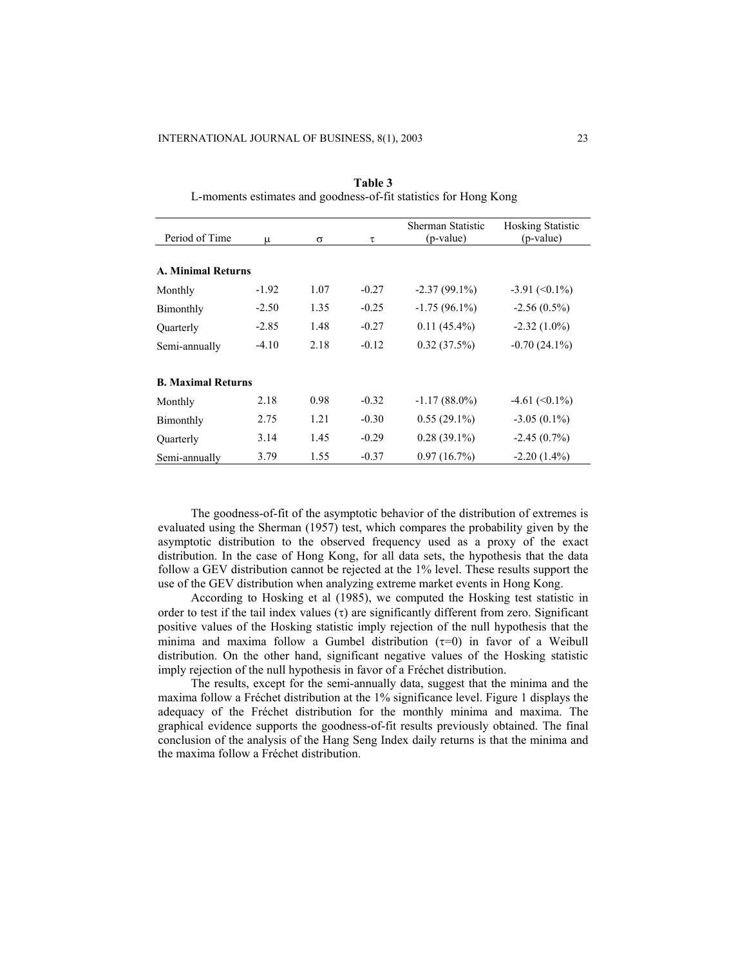|                           |         |          |         | Sherman Statistic | <b>Hosking Statistic</b> |
|---------------------------|---------|----------|---------|-------------------|--------------------------|
| Period of Time            | μ       | $\sigma$ | τ       | (p-value)         | (p-value)                |
|                           |         |          |         |                   |                          |
| <b>A. Minimal Returns</b> |         |          |         |                   |                          |
| Monthly                   | $-1.92$ | 1.07     | $-0.27$ | $-2.37(99.1\%)$   | $-3.91 \approx (0.1\%)$  |
| Bimonthly                 | $-2.50$ | 1.35     | $-0.25$ | $-1.75(96.1\%)$   | $-2.56(0.5\%)$           |
| Ouarterly                 | $-2.85$ | 1.48     | $-0.27$ | $0.11(45.4\%)$    | $-2.32(1.0\%)$           |
| Semi-annually             | $-4.10$ | 2.18     | $-0.12$ | $0.32(37.5\%)$    | $-0.70(24.1\%)$          |
| <b>B. Maximal Returns</b> |         |          |         |                   |                          |
| Monthly                   | 2.18    | 0.98     | $-0.32$ | $-1.17(88.0\%)$   | $-4.61 \approx 0.1\%$    |
| Bimonthly                 | 2.75    | 1.21     | $-0.30$ | $0.55(29.1\%)$    | $-3.05(0.1\%)$           |
| Quarterly                 | 3.14    | 1.45     | $-0.29$ | $0.28(39.1\%)$    | $-2.45(0.7%)$            |
| Semi-annually             | 3.79    | 1.55     | $-0.37$ | 0.97(16.7%)       | $-2.20(1.4\%)$           |

**Table 3**  L-moments estimates and goodness-of-fit statistics for Hong Kong

The goodness-of-fit of the asymptotic behavior of the distribution of extremes is evaluated using the Sherman (1957) test, which compares the probability given by the asymptotic distribution to the observed frequency used as a proxy of the exact distribution. In the case of Hong Kong, for all data sets, the hypothesis that the data follow a GEV distribution cannot be rejected at the 1% level. These results support the use of the GEV distribution when analyzing extreme market events in Hong Kong.

According to Hosking et al (1985), we computed the Hosking test statistic in order to test if the tail index values  $(\tau)$  are significantly different from zero. Significant positive values of the Hosking statistic imply rejection of the null hypothesis that the minima and maxima follow a Gumbel distribution  $(τ=0)$  in favor of a Weibull distribution. On the other hand, significant negative values of the Hosking statistic imply rejection of the null hypothesis in favor of a Fréchet distribution.

The results, except for the semi-annually data, suggest that the minima and the maxima follow a Fréchet distribution at the 1% significance level. Figure 1 displays the adequacy of the Fréchet distribution for the monthly minima and maxima. The graphical evidence supports the goodness-of-fit results previously obtained. The final conclusion of the analysis of the Hang Seng Index daily returns is that the minima and the maxima follow a Fréchet distribution.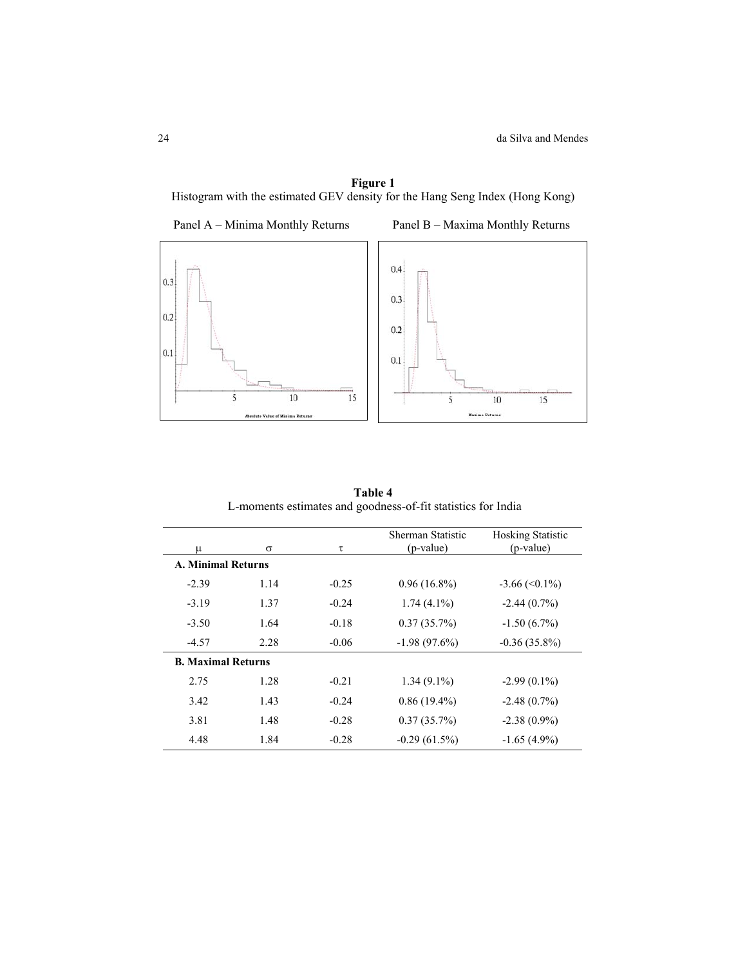# **Figure 1**

Histogram with the estimated GEV density for the Hang Seng Index (Hong Kong)



**Table 4** L-moments estimates and goodness-of-fit statistics for India

| μ                         | $\sigma$ | τ       | Sherman Statistic<br>(p-value) | <b>Hosking Statistic</b><br>(p-value) |
|---------------------------|----------|---------|--------------------------------|---------------------------------------|
| <b>A. Minimal Returns</b> |          |         |                                |                                       |
| $-2.39$                   | 1.14     | $-0.25$ | $0.96(16.8\%)$                 | $-3.66 \approx 0.1\%$                 |
| $-3.19$                   | 1.37     | $-0.24$ | $1.74(4.1\%)$                  | $-2.44(0.7%)$                         |
| $-3.50$                   | 1.64     | $-0.18$ | 0.37(35.7%)                    | $-1.50(6.7\%)$                        |
| $-4.57$                   | 2.28     | $-0.06$ | $-1.98(97.6%)$                 | $-0.36(35.8\%)$                       |
| <b>B. Maximal Returns</b> |          |         |                                |                                       |
| 2.75                      | 1.28     | $-0.21$ | $1.34(9.1\%)$                  | $-2.99(0.1\%)$                        |
| 3.42                      | 1.43     | $-0.24$ | $0.86(19.4\%)$                 | $-2.48(0.7%)$                         |
| 3.81                      | 1.48     | $-0.28$ | 0.37(35.7%)                    | $-2.38(0.9\%)$                        |
| 4.48                      | 1.84     | $-0.28$ | $-0.29(61.5%)$                 | $-1.65(4.9\%)$                        |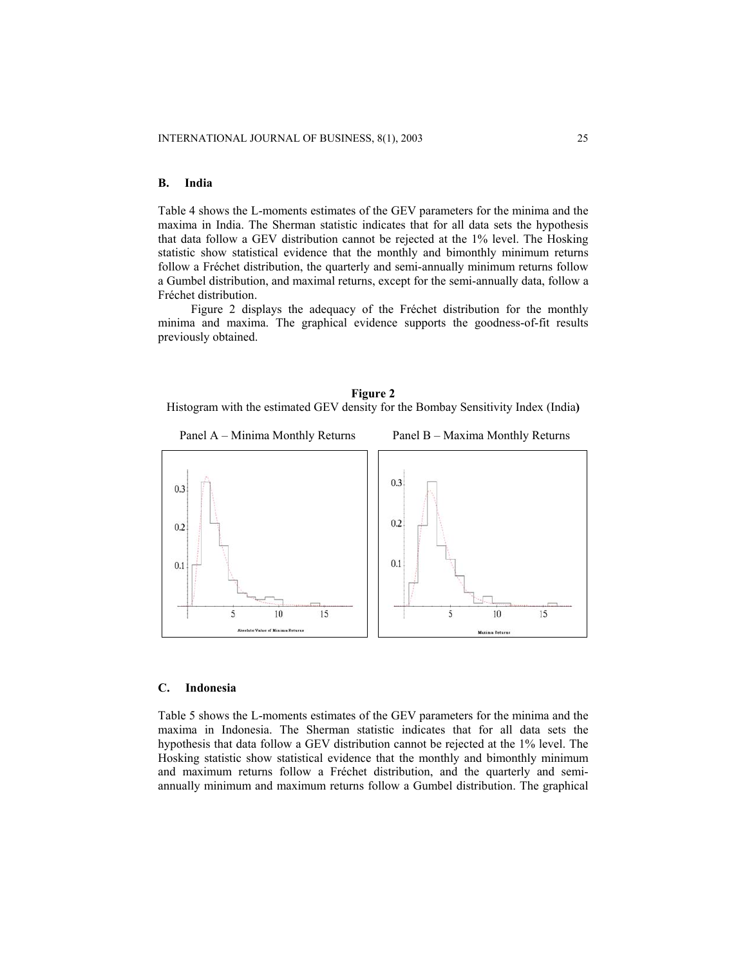#### **B. India**

Table 4 shows the L-moments estimates of the GEV parameters for the minima and the maxima in India. The Sherman statistic indicates that for all data sets the hypothesis that data follow a GEV distribution cannot be rejected at the 1% level. The Hosking statistic show statistical evidence that the monthly and bimonthly minimum returns follow a Fréchet distribution, the quarterly and semi-annually minimum returns follow a Gumbel distribution, and maximal returns, except for the semi-annually data, follow a Fréchet distribution.

Figure 2 displays the adequacy of the Fréchet distribution for the monthly minima and maxima. The graphical evidence supports the goodness-of-fit results previously obtained.

# **Figure 2**  Histogram with the estimated GEV density for the Bombay Sensitivity Index (India**)**



#### **C. Indonesia**

Table 5 shows the L-moments estimates of the GEV parameters for the minima and the maxima in Indonesia. The Sherman statistic indicates that for all data sets the hypothesis that data follow a GEV distribution cannot be rejected at the 1% level. The Hosking statistic show statistical evidence that the monthly and bimonthly minimum and maximum returns follow a Fréchet distribution, and the quarterly and semiannually minimum and maximum returns follow a Gumbel distribution. The graphical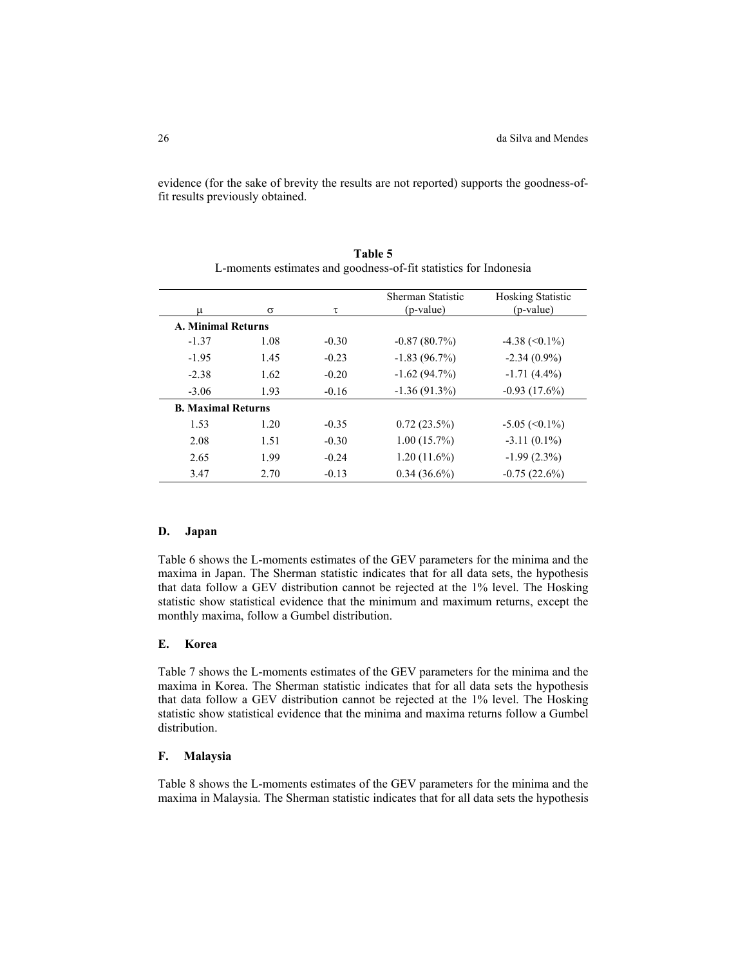evidence (for the sake of brevity the results are not reported) supports the goodness-offit results previously obtained.

| u                         | σ    | τ       | Sherman Statistic<br>(p-value) | <b>Hosking Statistic</b><br>(p-value) |
|---------------------------|------|---------|--------------------------------|---------------------------------------|
|                           |      |         |                                |                                       |
| <b>A. Minimal Returns</b> |      |         |                                |                                       |
| $-1.37$                   | 1.08 | $-0.30$ | $-0.87(80.7%)$                 | $-4.38 \approx (0.1\%)$               |
| $-1.95$                   | 1.45 | $-0.23$ | $-1.83(96.7%)$                 | $-2.34(0.9\%)$                        |
| $-2.38$                   | 1.62 | $-0.20$ | $-1.62(94.7%)$                 | $-1.71(4.4\%)$                        |
| $-3.06$                   | 1.93 | $-0.16$ | $-1.36(91.3%)$                 | $-0.93(17.6%)$                        |
| <b>B. Maximal Returns</b> |      |         |                                |                                       |
| 1.53                      | 1.20 | $-0.35$ | $0.72(23.5\%)$                 | $-5.05 \approx 0.1\%$                 |
| 2.08                      | 1.51 | $-0.30$ | $1.00(15.7\%)$                 | $-3.11(0.1\%)$                        |
| 2.65                      | 1.99 | $-0.24$ | $1.20(11.6\%)$                 | $-1.99(2.3\%)$                        |
| 3.47                      | 2.70 | $-0.13$ | $0.34(36.6\%)$                 | $-0.75(22.6%)$                        |

**Table 5**  L-moments estimates and goodness-of-fit statistics for Indonesia

#### **D. Japan**

Table 6 shows the L-moments estimates of the GEV parameters for the minima and the maxima in Japan. The Sherman statistic indicates that for all data sets, the hypothesis that data follow a GEV distribution cannot be rejected at the 1% level. The Hosking statistic show statistical evidence that the minimum and maximum returns, except the monthly maxima, follow a Gumbel distribution.

#### **E. Korea**

Table 7 shows the L-moments estimates of the GEV parameters for the minima and the maxima in Korea. The Sherman statistic indicates that for all data sets the hypothesis that data follow a GEV distribution cannot be rejected at the 1% level. The Hosking statistic show statistical evidence that the minima and maxima returns follow a Gumbel distribution.

# **F. Malaysia**

Table 8 shows the L-moments estimates of the GEV parameters for the minima and the maxima in Malaysia. The Sherman statistic indicates that for all data sets the hypothesis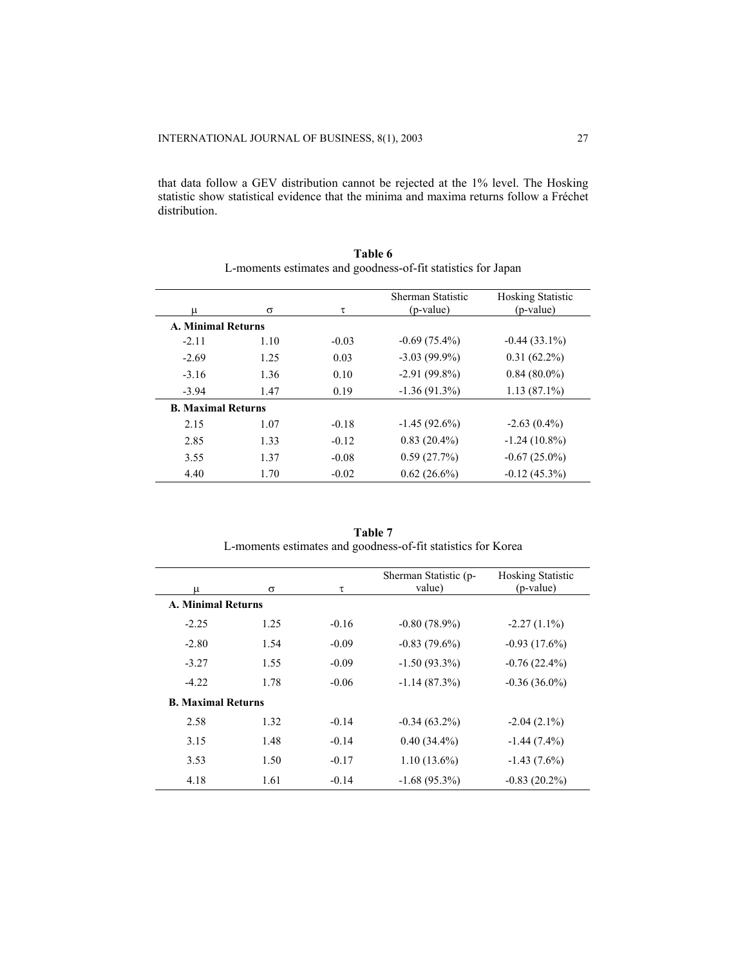that data follow a GEV distribution cannot be rejected at the 1% level. The Hosking statistic show statistical evidence that the minima and maxima returns follow a Fréchet distribution.

|                           |      |         | Sherman Statistic | <b>Hosking Statistic</b> |
|---------------------------|------|---------|-------------------|--------------------------|
| $\mu$                     | σ    | τ       | (p-value)         | (p-value)                |
| <b>A. Minimal Returns</b> |      |         |                   |                          |
| $-2.11$                   | 1.10 | $-0.03$ | $-0.69(75.4\%)$   | $-0.44(33.1\%)$          |
| $-2.69$                   | 1.25 | 0.03    | $-3.03(99.9\%)$   | $0.31(62.2\%)$           |
| $-3.16$                   | 1.36 | 0.10    | $-2.91(99.8\%)$   | $0.84(80.0\%)$           |
| $-3.94$                   | 1.47 | 0.19    | $-1.36(91.3%)$    | $1.13(87.1\%)$           |
| <b>B. Maximal Returns</b> |      |         |                   |                          |
| 2.15                      | 1.07 | $-0.18$ | $-1.45(92.6%)$    | $-2.63(0.4\%)$           |
| 2.85                      | 1.33 | $-0.12$ | $0.83(20.4\%)$    | $-1.24(10.8\%)$          |
| 3.55                      | 1.37 | $-0.08$ | 0.59(27.7%)       | $-0.67(25.0\%)$          |
| 4.40                      | 1.70 | $-0.02$ | $0.62(26.6\%)$    | $-0.12(45.3%)$           |

**Table 6**  L-moments estimates and goodness-of-fit statistics for Japan

| Table 7                                                      |  |
|--------------------------------------------------------------|--|
| L-moments estimates and goodness-of-fit statistics for Korea |  |

| μ                         | σ    | τ       | Sherman Statistic (p-<br>value) | <b>Hosking Statistic</b><br>(p-value) |
|---------------------------|------|---------|---------------------------------|---------------------------------------|
| <b>A. Minimal Returns</b> |      |         |                                 |                                       |
| $-2.25$                   | 1.25 | $-0.16$ | $-0.80(78.9%)$                  | $-2.27(1.1\%)$                        |
| $-2.80$                   | 1.54 | $-0.09$ | $-0.83(79.6\%)$                 | $-0.93(17.6%)$                        |
| $-3.27$                   | 1.55 | $-0.09$ | $-1.50(93.3\%)$                 | $-0.76(22.4\%)$                       |
| $-4.22$                   | 1.78 | $-0.06$ | $-1.14(87.3%)$                  | $-0.36(36.0\%)$                       |
| <b>B. Maximal Returns</b> |      |         |                                 |                                       |
| 2.58                      | 1.32 | $-0.14$ | $-0.34(63.2\%)$                 | $-2.04(2.1\%)$                        |
| 3.15                      | 1.48 | $-0.14$ | $0.40(34.4\%)$                  | $-1.44(7.4\%)$                        |
| 3.53                      | 1.50 | $-0.17$ | $1.10(13.6\%)$                  | $-1.43(7.6\%)$                        |
| 4.18                      | 1.61 | $-0.14$ | $-1.68(95.3\%)$                 | $-0.83(20.2\%)$                       |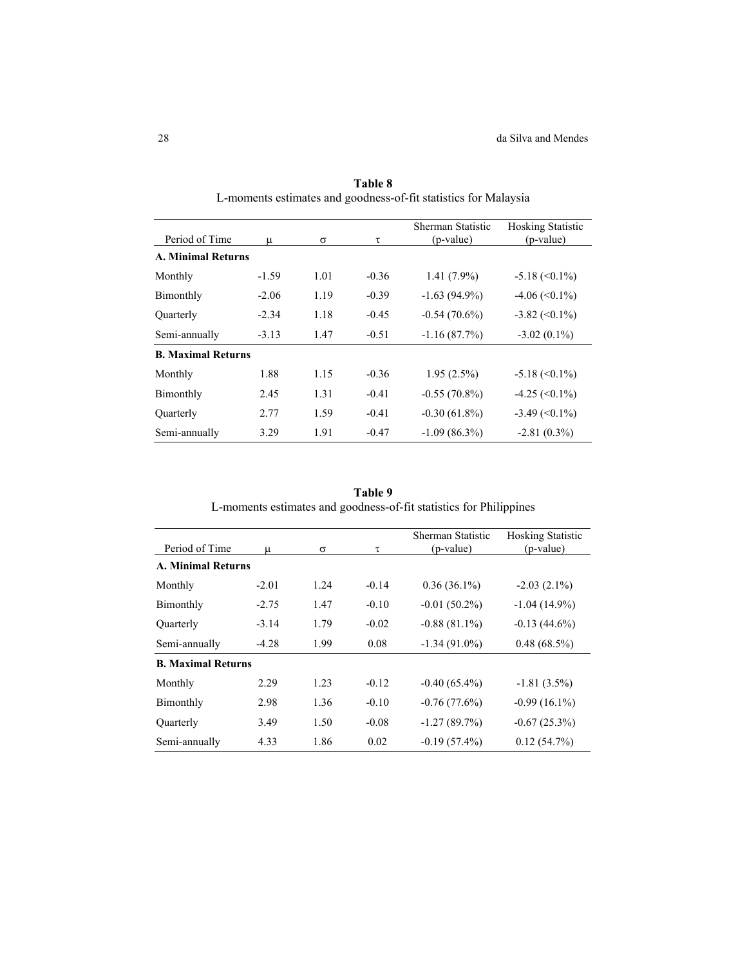| Period of Time            | μ       | $\sigma$ | τ       | Sherman Statistic<br>(p-value) | <b>Hosking Statistic</b><br>$(p-value)$ |
|---------------------------|---------|----------|---------|--------------------------------|-----------------------------------------|
| <b>A. Minimal Returns</b> |         |          |         |                                |                                         |
| Monthly                   | $-1.59$ | 1.01     | $-0.36$ | $1.41(7.9\%)$                  | $-5.18 \approx (0.1\%)$                 |
| Bimonthly                 | $-2.06$ | 1.19     | $-0.39$ | $-1.63(94.9\%)$                | $-4.06 \approx 0.1\%$                   |
| Ouarterly                 | $-2.34$ | 1.18     | $-0.45$ | $-0.54(70.6%)$                 | $-3.82 \approx (0.1\%)$                 |
| Semi-annually             | $-3.13$ | 1.47     | $-0.51$ | $-1.16(87.7%)$                 | $-3.02(0.1\%)$                          |
| <b>B. Maximal Returns</b> |         |          |         |                                |                                         |
| Monthly                   | 1.88    | 1.15     | $-0.36$ | $1.95(2.5\%)$                  | $-5.18 \approx (0.1\%)$                 |
| Bimonthly                 | 2.45    | 1.31     | $-0.41$ | $-0.55(70.8\%)$                | $-4.25 \approx (0.1\%)$                 |
| Quarterly                 | 2.77    | 1.59     | $-0.41$ | $-0.30(61.8\%)$                | $-3.49 \left( \leq 0.1\% \right)$       |
| Semi-annually             | 3.29    | 1.91     | $-0.47$ | $-1.09(86.3%)$                 | $-2.81(0.3\%)$                          |

**Table 8**  L-moments estimates and goodness-of-fit statistics for Malaysia

**Table 9**  L-moments estimates and goodness-of-fit statistics for Philippines

|                           |         |          |         | Sherman Statistic | <b>Hosking Statistic</b> |
|---------------------------|---------|----------|---------|-------------------|--------------------------|
| Period of Time            | μ       | $\sigma$ | τ       | (p-value)         | (p-value)                |
| <b>A. Minimal Returns</b> |         |          |         |                   |                          |
| Monthly                   | $-2.01$ | 1.24     | $-0.14$ | $0.36(36.1\%)$    | $-2.03(2.1\%)$           |
| Bimonthly                 | $-2.75$ | 1.47     | $-0.10$ | $-0.01(50.2\%)$   | $-1.04(14.9\%)$          |
| Ouarterly                 | $-3.14$ | 1.79     | $-0.02$ | $-0.88(81.1\%)$   | $-0.13(44.6\%)$          |
| Semi-annually             | $-4.28$ | 1.99     | 0.08    | $-1.34(91.0\%)$   | $0.48(68.5\%)$           |
| <b>B. Maximal Returns</b> |         |          |         |                   |                          |
| Monthly                   | 2.29    | 1.23     | $-0.12$ | $-0.40(65.4\%)$   | $-1.81(3.5\%)$           |
| Bimonthly                 | 2.98    | 1.36     | $-0.10$ | $-0.76(77.6%)$    | $-0.99(16.1\%)$          |
| Ouarterly                 | 3.49    | 1.50     | $-0.08$ | $-1.27(89.7%)$    | $-0.67(25.3%)$           |
| Semi-annually             | 4.33    | 1.86     | 0.02    | $-0.19(57.4\%)$   | 0.12(54.7%)              |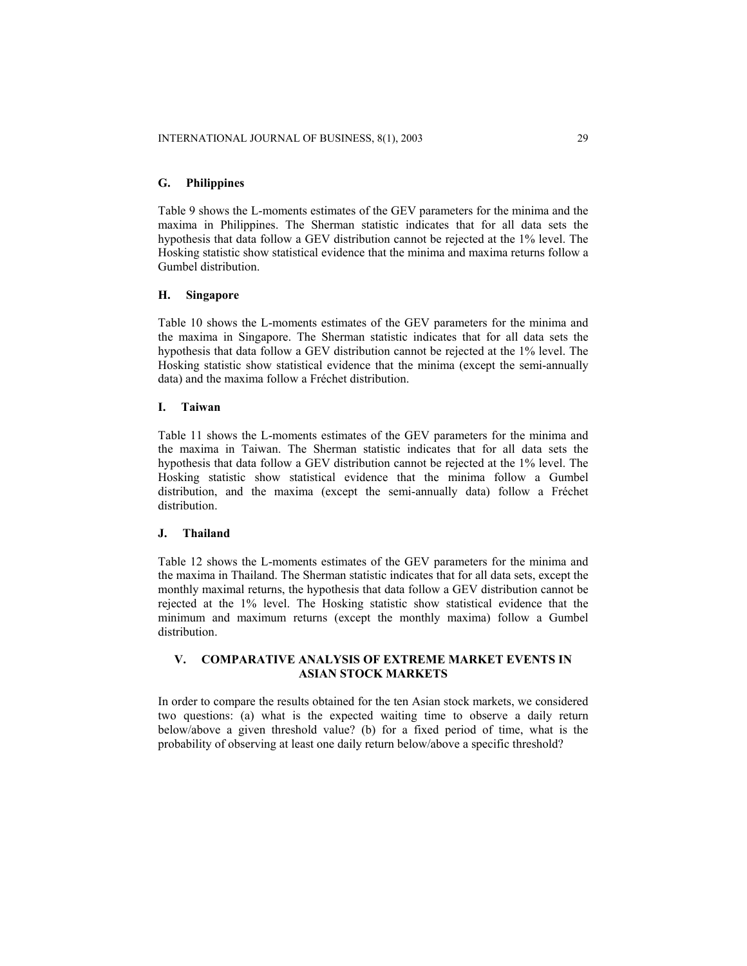# **G. Philippines**

Table 9 shows the L-moments estimates of the GEV parameters for the minima and the maxima in Philippines. The Sherman statistic indicates that for all data sets the hypothesis that data follow a GEV distribution cannot be rejected at the 1% level. The Hosking statistic show statistical evidence that the minima and maxima returns follow a Gumbel distribution.

# **H. Singapore**

Table 10 shows the L-moments estimates of the GEV parameters for the minima and the maxima in Singapore. The Sherman statistic indicates that for all data sets the hypothesis that data follow a GEV distribution cannot be rejected at the 1% level. The Hosking statistic show statistical evidence that the minima (except the semi-annually data) and the maxima follow a Fréchet distribution.

#### **I. Taiwan**

Table 11 shows the L-moments estimates of the GEV parameters for the minima and the maxima in Taiwan. The Sherman statistic indicates that for all data sets the hypothesis that data follow a GEV distribution cannot be rejected at the 1% level. The Hosking statistic show statistical evidence that the minima follow a Gumbel distribution, and the maxima (except the semi-annually data) follow a Fréchet distribution.

#### **J. Thailand**

Table 12 shows the L-moments estimates of the GEV parameters for the minima and the maxima in Thailand. The Sherman statistic indicates that for all data sets, except the monthly maximal returns, the hypothesis that data follow a GEV distribution cannot be rejected at the 1% level. The Hosking statistic show statistical evidence that the minimum and maximum returns (except the monthly maxima) follow a Gumbel distribution.

# **V. COMPARATIVE ANALYSIS OF EXTREME MARKET EVENTS IN ASIAN STOCK MARKETS**

In order to compare the results obtained for the ten Asian stock markets, we considered two questions: (a) what is the expected waiting time to observe a daily return below/above a given threshold value? (b) for a fixed period of time, what is the probability of observing at least one daily return below/above a specific threshold?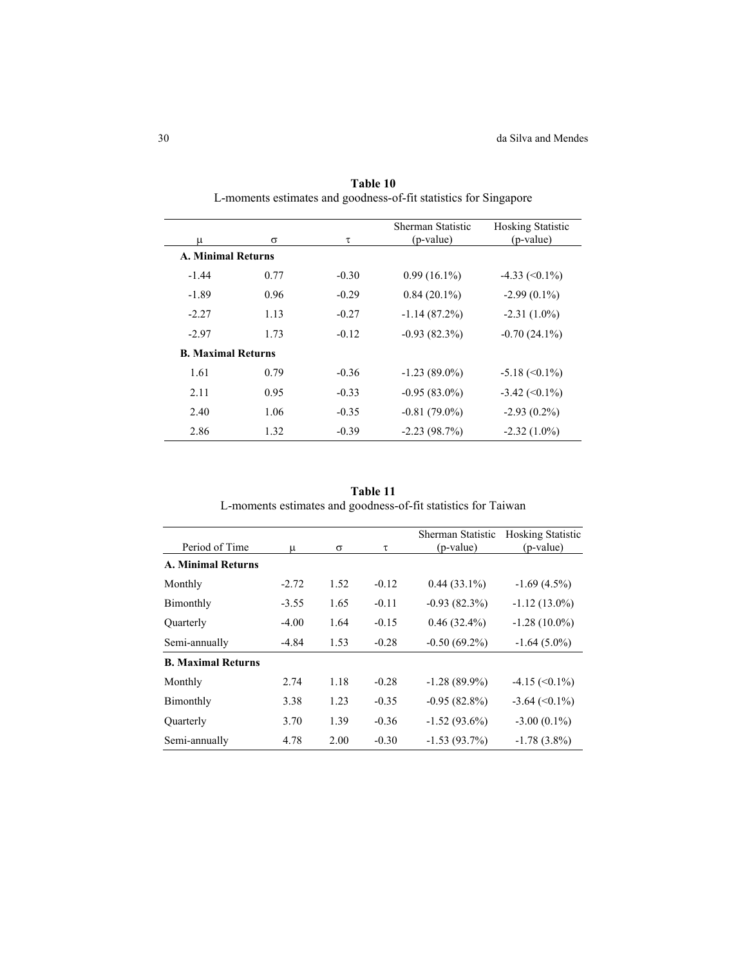| μ                         | $\sigma$ | τ       | Sherman Statistic<br>(p-value) | <b>Hosking Statistic</b><br>(p-value) |
|---------------------------|----------|---------|--------------------------------|---------------------------------------|
| <b>A. Minimal Returns</b> |          |         |                                |                                       |
| $-1.44$                   | 0.77     | $-0.30$ | $0.99(16.1\%)$                 | $-4.33 \approx (0.1\%)$               |
| $-1.89$                   | 0.96     | $-0.29$ | $0.84(20.1\%)$                 | $-2.99(0.1\%)$                        |
| $-2.27$                   | 1.13     | $-0.27$ | $-1.14(87.2%)$                 | $-2.31(1.0\%)$                        |
| $-2.97$                   | 1.73     | $-0.12$ | $-0.93(82.3%)$                 | $-0.70(24.1\%)$                       |
| <b>B. Maximal Returns</b> |          |         |                                |                                       |
| 1.61                      | 0.79     | $-0.36$ | $-1.23(89.0\%)$                | $-5.18 \approx (0.1\%)$               |
| 2.11                      | 0.95     | $-0.33$ | $-0.95(83.0\%)$                | $-3.42 \approx (0.1\%)$               |
| 2.40                      | 1.06     | $-0.35$ | $-0.81(79.0\%)$                | $-2.93(0.2\%)$                        |
| 2.86                      | 1.32     | $-0.39$ | $-2.23(98.7%)$                 | $-2.32(1.0\%)$                        |

**Table 10**  L-moments estimates and goodness-of-fit statistics for Singapore

**Table 11**  L-moments estimates and goodness-of-fit statistics for Taiwan

| Period of Time            | μ       | $\sigma$ | τ       | Sherman Statistic<br>(p-value) | <b>Hosking Statistic</b><br>(p-value) |
|---------------------------|---------|----------|---------|--------------------------------|---------------------------------------|
| <b>A. Minimal Returns</b> |         |          |         |                                |                                       |
| Monthly                   | $-2.72$ | 1.52     | $-0.12$ | $0.44(33.1\%)$                 | $-1.69(4.5\%)$                        |
| Bimonthly                 | $-3.55$ | 1.65     | $-0.11$ | $-0.93(82.3%)$                 | $-1.12(13.0\%)$                       |
| Quarterly                 | $-4.00$ | 1.64     | $-0.15$ | $0.46(32.4\%)$                 | $-1.28(10.0\%)$                       |
| Semi-annually             | $-4.84$ | 1.53     | $-0.28$ | $-0.50(69.2\%)$                | $-1.64(5.0\%)$                        |
| <b>B. Maximal Returns</b> |         |          |         |                                |                                       |
| Monthly                   | 2.74    | 1.18     | $-0.28$ | $-1.28(89.9\%)$                | $-4.15 \left( \leq 0.1\% \right)$     |
| Bimonthly                 | 3.38    | 1.23     | $-0.35$ | $-0.95(82.8\%)$                | $-3.64 \approx (0.1\%)$               |
| Ouarterly                 | 3.70    | 1.39     | $-0.36$ | $-1.52(93.6\%)$                | $-3.00(0.1\%)$                        |
| Semi-annually             | 4.78    | 2.00     | $-0.30$ | $-1.53(93.7\%)$                | $-1.78(3.8\%)$                        |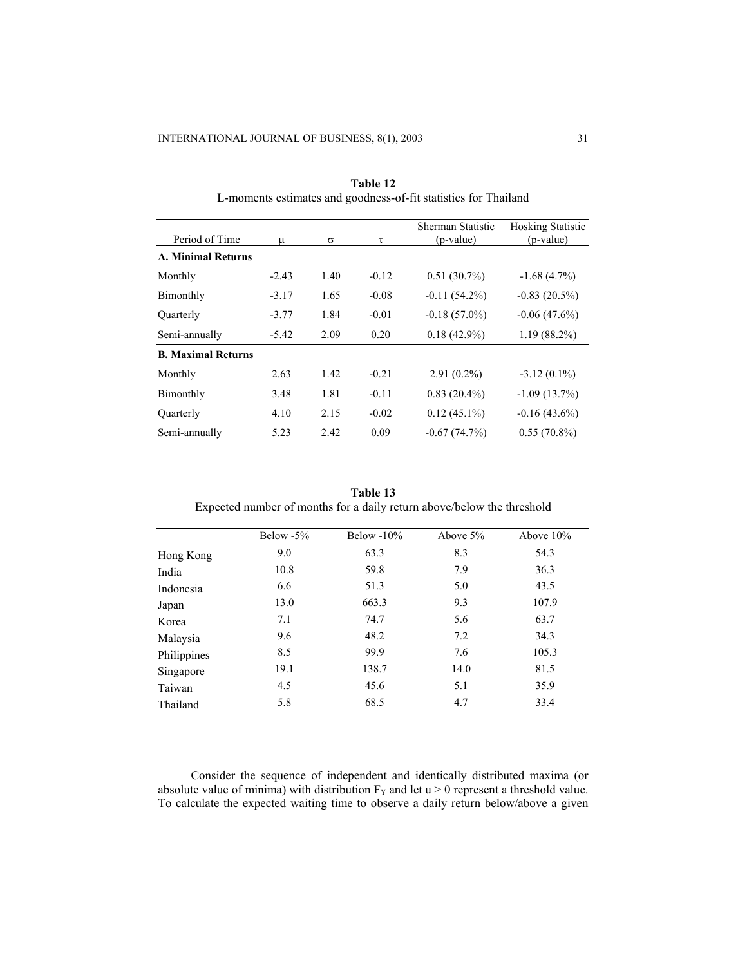| Period of Time            | μ       | σ    | τ       | Sherman Statistic<br>(p-value) | <b>Hosking Statistic</b><br>(p-value) |
|---------------------------|---------|------|---------|--------------------------------|---------------------------------------|
| <b>A. Minimal Returns</b> |         |      |         |                                |                                       |
| Monthly                   | $-2.43$ | 1.40 | $-0.12$ | $0.51(30.7\%)$                 | $-1.68(4.7%)$                         |
| Bimonthly                 | $-3.17$ | 1.65 | $-0.08$ | $-0.11(54.2\%)$                | $-0.83(20.5%)$                        |
| Ouarterly                 | $-3.77$ | 1.84 | $-0.01$ | $-0.18(57.0\%)$                | $-0.06(47.6%)$                        |
| Semi-annually             | $-5.42$ | 2.09 | 0.20    | $0.18(42.9\%)$                 | $1.19(88.2\%)$                        |
| <b>B. Maximal Returns</b> |         |      |         |                                |                                       |
| Monthly                   | 2.63    | 1.42 | $-0.21$ | $2.91(0.2\%)$                  | $-3.12(0.1\%)$                        |
| Bimonthly                 | 3.48    | 1.81 | $-0.11$ | $0.83(20.4\%)$                 | $-1.09(13.7%)$                        |
| Quarterly                 | 4.10    | 2.15 | $-0.02$ | $0.12(45.1\%)$                 | $-0.16(43.6%)$                        |
| Semi-annually             | 5.23    | 2.42 | 0.09    | $-0.67(74.7%)$                 | $0.55(70.8\%)$                        |

**Table 12**  L-moments estimates and goodness-of-fit statistics for Thailand

**Table 13**  Expected number of months for a daily return above/below the threshold

|             | Below $-5\%$ | Below $-10\%$ | Above $5%$ | Above $10\%$ |
|-------------|--------------|---------------|------------|--------------|
| Hong Kong   | 9.0          | 63.3          | 8.3        | 54.3         |
| India       | 10.8         | 59.8          | 7.9        | 36.3         |
| Indonesia   | 6.6          | 51.3          | 5.0        | 43.5         |
| Japan       | 13.0         | 663.3         | 9.3        | 107.9        |
| Korea       | 7.1          | 74.7          | 5.6        | 63.7         |
| Malaysia    | 9.6          | 48.2          | 7.2        | 34.3         |
| Philippines | 8.5          | 99.9          | 7.6        | 105.3        |
| Singapore   | 19.1         | 138.7         | 14.0       | 81.5         |
| Taiwan      | 4.5          | 45.6          | 5.1        | 35.9         |
| Thailand    | 5.8          | 68.5          | 4.7        | 33.4         |

Consider the sequence of independent and identically distributed maxima (or absolute value of minima) with distribution  $F_Y$  and let  $u > 0$  represent a threshold value. To calculate the expected waiting time to observe a daily return below/above a given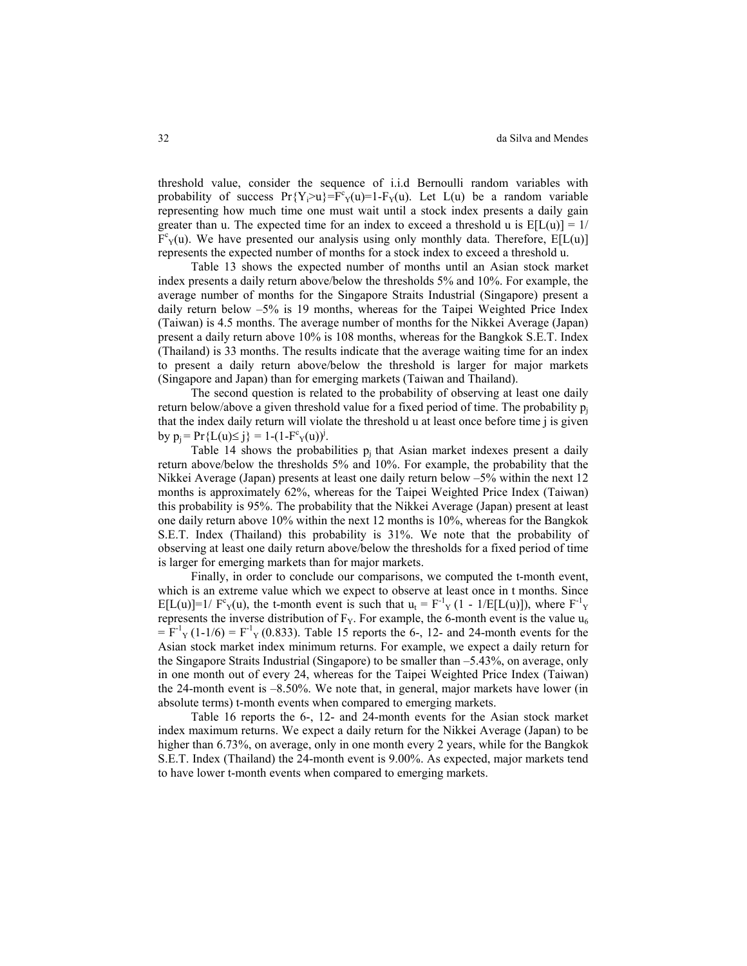threshold value, consider the sequence of i.i.d Bernoulli random variables with probability of success  $Pr{Y_i > u} = F^c_Y(u) = 1 - F_Y(u)$ . Let  $L(u)$  be a random variable representing how much time one must wait until a stock index presents a daily gain greater than u. The expected time for an index to exceed a threshold u is  $E[L(u)] = 1/2$  $F^{c}$ <sub>Y</sub>(u). We have presented our analysis using only monthly data. Therefore, E[L(u)] represents the expected number of months for a stock index to exceed a threshold u.

Table 13 shows the expected number of months until an Asian stock market index presents a daily return above/below the thresholds 5% and 10%. For example, the average number of months for the Singapore Straits Industrial (Singapore) present a daily return below –5% is 19 months, whereas for the Taipei Weighted Price Index (Taiwan) is 4.5 months. The average number of months for the Nikkei Average (Japan) present a daily return above 10% is 108 months, whereas for the Bangkok S.E.T. Index (Thailand) is 33 months. The results indicate that the average waiting time for an index to present a daily return above/below the threshold is larger for major markets (Singapore and Japan) than for emerging markets (Taiwan and Thailand).

The second question is related to the probability of observing at least one daily return below/above a given threshold value for a fixed period of time. The probability  $p_i$ that the index daily return will violate the threshold u at least once before time j is given by  $p_i = Pr{L(u) \le j} = 1 - (1 - F^{c}Y(v))^{j}$ .

Table 14 shows the probabilities  $p_i$  that Asian market indexes present a daily return above/below the thresholds 5% and 10%. For example, the probability that the Nikkei Average (Japan) presents at least one daily return below –5% within the next 12 months is approximately 62%, whereas for the Taipei Weighted Price Index (Taiwan) this probability is 95%. The probability that the Nikkei Average (Japan) present at least one daily return above 10% within the next 12 months is 10%, whereas for the Bangkok S.E.T. Index (Thailand) this probability is 31%. We note that the probability of observing at least one daily return above/below the thresholds for a fixed period of time is larger for emerging markets than for major markets.

Finally, in order to conclude our comparisons, we computed the t-month event, which is an extreme value which we expect to observe at least once in t months. Since E[L(u)]=1/  $F^c_Y(u)$ , the t-month event is such that  $u_t = F^{-1}Y(t - 1/E[L(u)])$ , where  $F^{-1}Y$ represents the inverse distribution of  $F_Y$ . For example, the 6-month event is the value  $u_6$  $= F^{-1}Y(1-1/6) = F^{-1}Y(0.833)$ . Table 15 reports the 6-, 12- and 24-month events for the Asian stock market index minimum returns. For example, we expect a daily return for the Singapore Straits Industrial (Singapore) to be smaller than –5.43%, on average, only in one month out of every 24, whereas for the Taipei Weighted Price Index (Taiwan) the 24-month event is –8.50%. We note that, in general, major markets have lower (in absolute terms) t-month events when compared to emerging markets.

Table 16 reports the 6-, 12- and 24-month events for the Asian stock market index maximum returns. We expect a daily return for the Nikkei Average (Japan) to be higher than 6.73%, on average, only in one month every 2 years, while for the Bangkok S.E.T. Index (Thailand) the 24-month event is 9.00%. As expected, major markets tend to have lower t-month events when compared to emerging markets.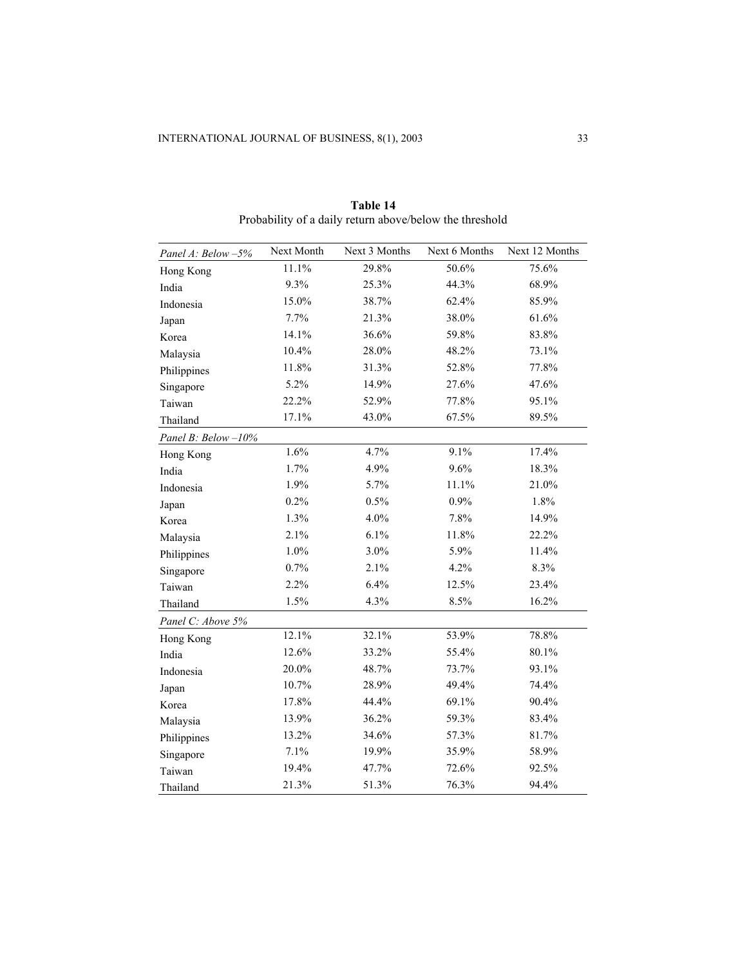| Panel A: Below -5% | Next Month | Next 3 Months | Next 6 Months | Next 12 Months |
|--------------------|------------|---------------|---------------|----------------|
| Hong Kong          | 11.1%      | 29.8%         | 50.6%         | 75.6%          |
| India              | 9.3%       | 25.3%         | 44.3%         | 68.9%          |
| Indonesia          | 15.0%      | 38.7%         | 62.4%         | 85.9%          |
| Japan              | 7.7%       | 21.3%         | 38.0%         | 61.6%          |
| Korea              | 14.1%      | 36.6%         | 59.8%         | 83.8%          |
| Malaysia           | 10.4%      | 28.0%         | 48.2%         | 73.1%          |
| Philippines        | 11.8%      | 31.3%         | 52.8%         | 77.8%          |
| Singapore          | 5.2%       | 14.9%         | 27.6%         | 47.6%          |
| Taiwan             | 22.2%      | 52.9%         | 77.8%         | 95.1%          |
| Thailand           | 17.1%      | 43.0%         | 67.5%         | 89.5%          |
| Panel B: Below-10% |            |               |               |                |
| Hong Kong          | 1.6%       | 4.7%          | 9.1%          | 17.4%          |
| India              | 1.7%       | 4.9%          | 9.6%          | 18.3%          |
| Indonesia          | 1.9%       | 5.7%          | 11.1%         | 21.0%          |
| Japan              | 0.2%       | 0.5%          | 0.9%          | 1.8%           |
| Korea              | 1.3%       | 4.0%          | 7.8%          | 14.9%          |
| Malaysia           | 2.1%       | 6.1%          | 11.8%         | 22.2%          |
| Philippines        | 1.0%       | 3.0%          | 5.9%          | 11.4%          |
| Singapore          | 0.7%       | 2.1%          | 4.2%          | 8.3%           |
| Taiwan             | 2.2%       | 6.4%          | 12.5%         | 23.4%          |
| Thailand           | 1.5%       | 4.3%          | 8.5%          | 16.2%          |
| Panel C: Above 5%  |            |               |               |                |
| Hong Kong          | 12.1%      | 32.1%         | 53.9%         | 78.8%          |
| India              | 12.6%      | 33.2%         | 55.4%         | 80.1%          |
| Indonesia          | 20.0%      | 48.7%         | 73.7%         | 93.1%          |
| Japan              | 10.7%      | 28.9%         | 49.4%         | 74.4%          |
| Korea              | 17.8%      | 44.4%         | 69.1%         | 90.4%          |
| Malaysia           | 13.9%      | 36.2%         | 59.3%         | 83.4%          |
| Philippines        | 13.2%      | 34.6%         | 57.3%         | 81.7%          |
| Singapore          | 7.1%       | 19.9%         | 35.9%         | 58.9%          |
| Taiwan             | 19.4%      | 47.7%         | 72.6%         | 92.5%          |
| Thailand           | 21.3%      | 51.3%         | 76.3%         | 94.4%          |

**Table 14**  Probability of a daily return above/below the threshold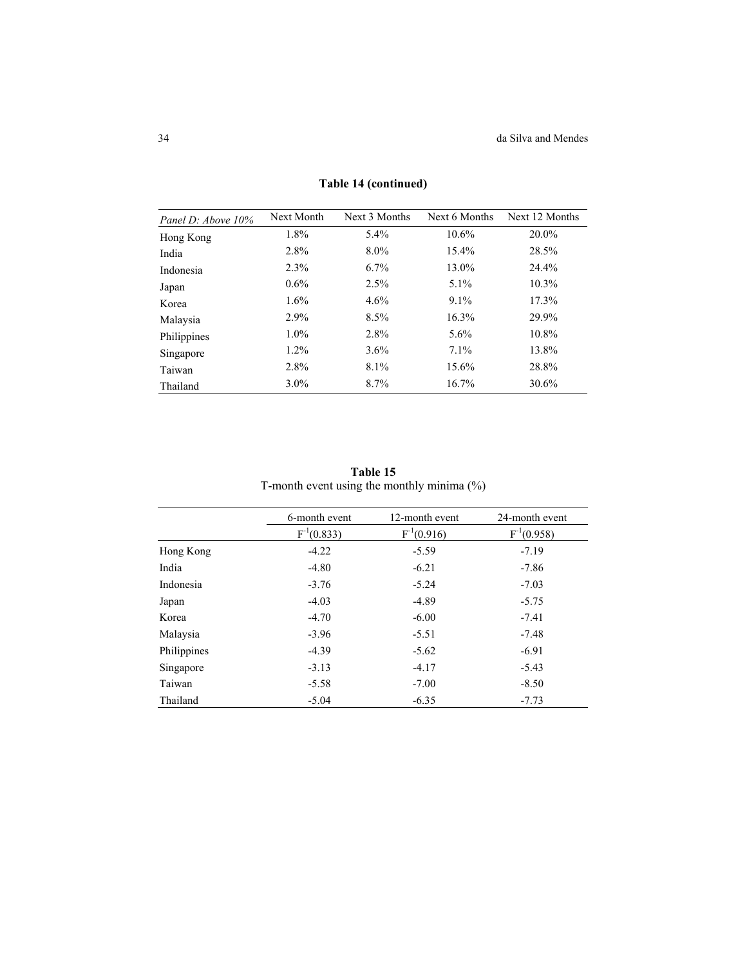| Panel D: Above 10% | Next Month | Next 3 Months | Next 6 Months | Next 12 Months |
|--------------------|------------|---------------|---------------|----------------|
| Hong Kong          | 1.8%       | $5.4\%$       | $10.6\%$      | 20.0%          |
| India              | 2.8%       | $8.0\%$       | 15.4%         | 28.5%          |
| Indonesia          | 2.3%       | 6.7%          | 13.0%         | 24.4%          |
| Japan              | $0.6\%$    | 2.5%          | $5.1\%$       | $10.3\%$       |
| Korea              | 1.6%       | 4.6%          | $9.1\%$       | 17.3%          |
| Malaysia           | $2.9\%$    | 8.5%          | 16.3%         | 29.9%          |
| Philippines        | $1.0\%$    | 2.8%          | $5.6\%$       | 10.8%          |
| Singapore          | $1.2\%$    | $3.6\%$       | $7.1\%$       | 13.8%          |
| Taiwan             | 2.8%       | 8.1%          | 15.6%         | 28.8%          |
| Thailand           | $3.0\%$    | 8.7%          | 16.7%         | 30.6%          |

**Table 14 (continued)**

**Table 15**  T-month event using the monthly minima (%)

|             | 6-month event   | 12-month event  | 24-month event  |
|-------------|-----------------|-----------------|-----------------|
|             | $F^{-1}(0.833)$ | $F^{-1}(0.916)$ | $F^{-1}(0.958)$ |
| Hong Kong   | $-4.22$         | $-5.59$         | $-7.19$         |
| India       | $-4.80$         | $-6.21$         | $-7.86$         |
| Indonesia   | $-3.76$         | $-5.24$         | $-7.03$         |
| Japan       | $-4.03$         | $-4.89$         | $-5.75$         |
| Korea       | $-4.70$         | $-6.00$         | $-7.41$         |
| Malaysia    | $-3.96$         | $-5.51$         | $-7.48$         |
| Philippines | $-4.39$         | $-5.62$         | $-6.91$         |
| Singapore   | $-3.13$         | $-4.17$         | $-5.43$         |
| Taiwan      | $-5.58$         | $-7.00$         | $-8.50$         |
| Thailand    | $-5.04$         | $-6.35$         | $-7.73$         |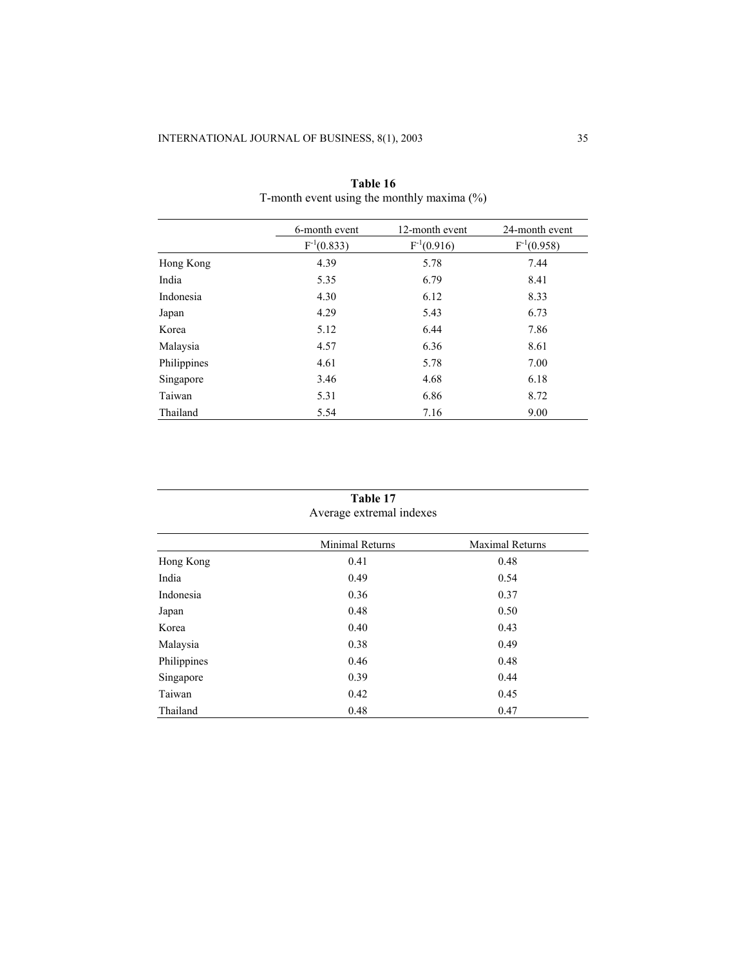|             | 6-month event   | 12-month event  | 24-month event  |
|-------------|-----------------|-----------------|-----------------|
|             | $F^{-1}(0.833)$ | $F^{-1}(0.916)$ | $F^{-1}(0.958)$ |
| Hong Kong   | 4.39            | 5.78            | 7.44            |
| India       | 5.35            | 6.79            | 8.41            |
| Indonesia   | 4.30            | 6.12            | 8.33            |
| Japan       | 4.29            | 5.43            | 6.73            |
| Korea       | 5.12            | 6.44            | 7.86            |
| Malaysia    | 4.57            | 6.36            | 8.61            |
| Philippines | 4.61            | 5.78            | 7.00            |
| Singapore   | 3.46            | 4.68            | 6.18            |
| Taiwan      | 5.31            | 6.86            | 8.72            |
| Thailand    | 5.54            | 7.16            | 9.00            |

| Table 16                                      |
|-----------------------------------------------|
| T-month event using the monthly maxima $(\%)$ |

# **Table 17**  Average extremal indexes

|             | <b>Minimal Returns</b> | <b>Maximal Returns</b> |
|-------------|------------------------|------------------------|
| Hong Kong   | 0.41                   | 0.48                   |
| India       | 0.49                   | 0.54                   |
| Indonesia   | 0.36                   | 0.37                   |
| Japan       | 0.48                   | 0.50                   |
| Korea       | 0.40                   | 0.43                   |
| Malaysia    | 0.38                   | 0.49                   |
| Philippines | 0.46                   | 0.48                   |
| Singapore   | 0.39                   | 0.44                   |
| Taiwan      | 0.42                   | 0.45                   |
| Thailand    | 0.48                   | 0.47                   |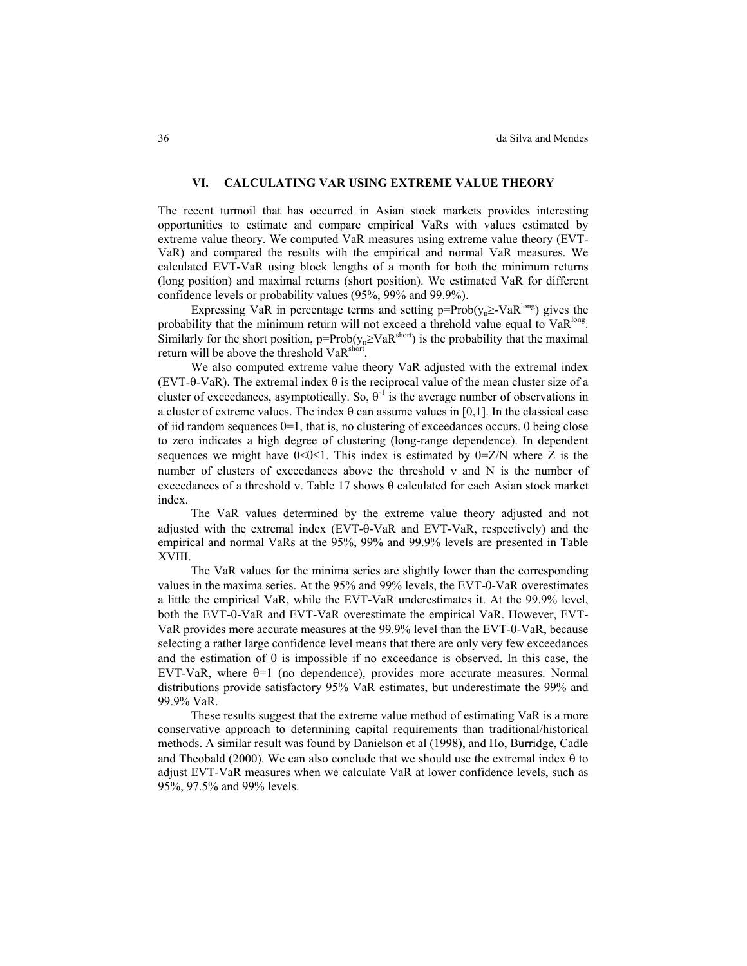# **VI. CALCULATING VAR USING EXTREME VALUE THEORY**

The recent turmoil that has occurred in Asian stock markets provides interesting opportunities to estimate and compare empirical VaRs with values estimated by extreme value theory. We computed VaR measures using extreme value theory (EVT-VaR) and compared the results with the empirical and normal VaR measures. We calculated EVT-VaR using block lengths of a month for both the minimum returns (long position) and maximal returns (short position). We estimated VaR for different confidence levels or probability values (95%, 99% and 99.9%).

Expressing VaR in percentage terms and setting p=Prob( $v_n \geq$ -VaR<sup>long</sup>) gives the probability that the minimum return will not exceed a threhold value equal to  $VaR<sup>long</sup>$ . Similarly for the short position, p=Prob( $y_n \geq VaR^{short}$ ) is the probability that the maximal return will be above the threshold VaR<sup>short</sup>.

We also computed extreme value theory VaR adjusted with the extremal index (EVT-θ-VaR). The extremal index θ is the reciprocal value of the mean cluster size of a cluster of exceedances, asymptotically. So,  $\theta$ <sup>1</sup> is the average number of observations in a cluster of extreme values. The index  $\theta$  can assume values in [0,1]. In the classical case of iid random sequences  $θ=1$ , that is, no clustering of exceedances occurs.  $θ$  being close to zero indicates a high degree of clustering (long-range dependence). In dependent sequences we might have  $0 \le \theta \le 1$ . This index is estimated by  $\theta = Z/N$  where Z is the number of clusters of exceedances above the threshold  $v$  and  $N$  is the number of exceedances of a threshold ν. Table 17 shows θ calculated for each Asian stock market index.

The VaR values determined by the extreme value theory adjusted and not adjusted with the extremal index (EVT-θ-VaR and EVT-VaR, respectively) and the empirical and normal VaRs at the 95%, 99% and 99.9% levels are presented in Table XVIII.

The VaR values for the minima series are slightly lower than the corresponding values in the maxima series. At the 95% and 99% levels, the EVT-θ-VaR overestimates a little the empirical VaR, while the EVT-VaR underestimates it. At the 99.9% level, both the EVT-θ-VaR and EVT-VaR overestimate the empirical VaR. However, EVT-VaR provides more accurate measures at the 99.9% level than the EVT-θ-VaR, because selecting a rather large confidence level means that there are only very few exceedances and the estimation of  $\theta$  is impossible if no exceedance is observed. In this case, the EVT-VaR, where  $\theta$ =1 (no dependence), provides more accurate measures. Normal distributions provide satisfactory 95% VaR estimates, but underestimate the 99% and 99.9% VaR.

These results suggest that the extreme value method of estimating VaR is a more conservative approach to determining capital requirements than traditional/historical methods. A similar result was found by Danielson et al (1998), and Ho, Burridge, Cadle and Theobald (2000). We can also conclude that we should use the extremal index  $\theta$  to adjust EVT-VaR measures when we calculate VaR at lower confidence levels, such as 95%, 97.5% and 99% levels.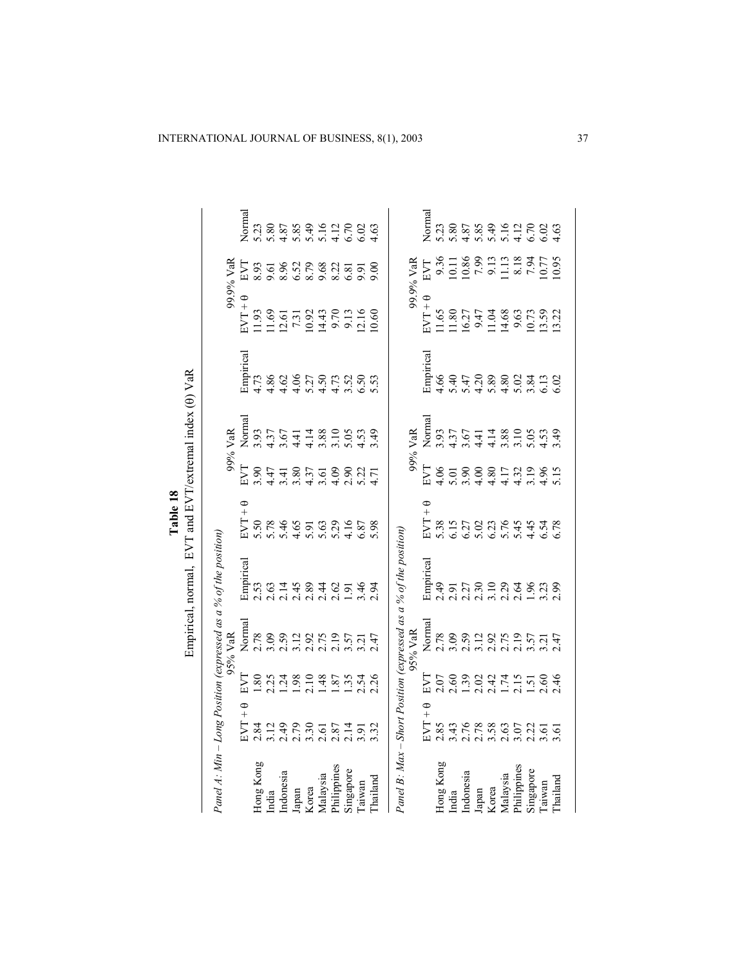|                      |                       |                                                          |                                                                                                                                                                                                                                                                                                     | Empirical, normal, EVT and EVT/extremal index (0) VaR<br>Panel A: Min – Long Position (expressed as a % of the position) | Table 18               |                                      |                            |                    |                                                       |                          |                              |
|----------------------|-----------------------|----------------------------------------------------------|-----------------------------------------------------------------------------------------------------------------------------------------------------------------------------------------------------------------------------------------------------------------------------------------------------|--------------------------------------------------------------------------------------------------------------------------|------------------------|--------------------------------------|----------------------------|--------------------|-------------------------------------------------------|--------------------------|------------------------------|
|                      |                       |                                                          | 95% VaR                                                                                                                                                                                                                                                                                             |                                                                                                                          |                        |                                      | 99% VaR                    |                    |                                                       | 99.9% VaR                |                              |
| EVT                  | ¢<br>$\overline{+}$   | EN                                                       | Normal                                                                                                                                                                                                                                                                                              | Empirical                                                                                                                | $\theta$ + LAS         | EVI                                  | Norma                      | Empirical          | $\theta$ + $L\Lambda$                                 | EVT                      | Normal                       |
| 2.84                 |                       | 1.80                                                     | 2.78                                                                                                                                                                                                                                                                                                | 2.53                                                                                                                     |                        | 3.90                                 | 3.93                       | 4.73               |                                                       | 8.93                     | 5.23                         |
| 3.12                 |                       | 2.25                                                     | 3.09                                                                                                                                                                                                                                                                                                | 2.63                                                                                                                     |                        | 4.47                                 | 4.37                       | 4.86               | 11.93<br>11.69                                        | 9.61                     | 5.80                         |
|                      |                       |                                                          | 2.59                                                                                                                                                                                                                                                                                                | $2.14$<br>$2.45$                                                                                                         |                        |                                      | 3.67                       |                    |                                                       | 8528822                  | $3.899020004$<br>$4.0004004$ |
| 2.79<br>2.79<br>2.61 |                       |                                                          |                                                                                                                                                                                                                                                                                                     |                                                                                                                          |                        |                                      |                            |                    |                                                       |                          |                              |
|                      |                       |                                                          |                                                                                                                                                                                                                                                                                                     |                                                                                                                          |                        |                                      |                            |                    |                                                       |                          |                              |
|                      |                       |                                                          | 3.12<br>2.92<br>2.19                                                                                                                                                                                                                                                                                | $2.89$<br>$2.44$                                                                                                         |                        | $3.80$<br>$3.37$<br>$4.30$<br>$3.61$ | $4.14$<br>$4.14$<br>$0.88$ |                    | 12.51323<br>7.31323<br>12.43<br>9.70312.16<br>9.00.00 |                          |                              |
| 2.87                 |                       | .87                                                      |                                                                                                                                                                                                                                                                                                     | 2.62                                                                                                                     |                        | 4.09                                 | 3.10                       |                    |                                                       |                          |                              |
| $\frac{2.14}{3.91}$  |                       | $1.35$<br>2.54                                           | $3.57$<br>$3.21$                                                                                                                                                                                                                                                                                    | 1.91                                                                                                                     |                        | 2.31<br>2.51<br>2.4                  | $5.39$<br>$-4.39$          |                    |                                                       | $6.\overline{8}$<br>9.91 |                              |
|                      |                       |                                                          |                                                                                                                                                                                                                                                                                                     | 3.46                                                                                                                     | 6.87                   |                                      |                            |                    |                                                       |                          |                              |
| 3.32                 |                       | 2.26                                                     | 2.47                                                                                                                                                                                                                                                                                                | 2.94                                                                                                                     | 5.98                   |                                      |                            |                    |                                                       | 600                      |                              |
|                      |                       |                                                          |                                                                                                                                                                                                                                                                                                     | Panel B: Max – Short Position (expressed as a % of the position)                                                         |                        |                                      |                            |                    |                                                       |                          |                              |
|                      |                       |                                                          | 95% VaR                                                                                                                                                                                                                                                                                             |                                                                                                                          |                        |                                      | 99% VaR                    |                    |                                                       | 99.9% VaR                |                              |
|                      | $\theta$ + $L\Lambda$ | EVI                                                      | Normal                                                                                                                                                                                                                                                                                              | Empirical                                                                                                                | $\theta$ + LAS         | EVT                                  | Norma                      | Empirical          | $BVT + \theta$                                        | LVL                      | Normal                       |
| 2.85                 |                       | 2.07                                                     | 2.78                                                                                                                                                                                                                                                                                                | 2.49                                                                                                                     | 5.38                   | 4.06                                 | 3.93                       | 4.66               | 11.65                                                 | 9.36                     | 5.23                         |
|                      |                       | 2.60                                                     | 3.09                                                                                                                                                                                                                                                                                                | 2.91                                                                                                                     | 5.15                   | 5.01                                 | 4.37                       | 5.40               | 11.80                                                 |                          | 5.80                         |
|                      |                       |                                                          | 2.59                                                                                                                                                                                                                                                                                                |                                                                                                                          |                        |                                      | 3.67                       |                    |                                                       | 10.86                    |                              |
|                      |                       | $1,30$<br>$2,47$<br>$1,50$<br>$1,50$<br>$1,50$<br>$1,50$ | $\begin{array}{c} 12870 \\ 21970 \\ 21970 \\ 21970 \\ 21970 \\ 21970 \\ 21970 \\ 21970 \\ 21970 \\ 21970 \\ 21970 \\ 21970 \\ 21970 \\ 21970 \\ 21970 \\ 21970 \\ 21970 \\ 21970 \\ 21970 \\ 21970 \\ 21970 \\ 21970 \\ 21970 \\ 21970 \\ 21970 \\ 21970 \\ 21970 \\ 21970 \\ 21970 \\ 21970 \\ 21$ | $2.27$<br>$2.30$<br>$3.10$                                                                                               | 6.27<br>6.023<br>6.045 | $3,80$<br>$4,40$                     | $4.14$<br>$4.14$           | 4708802<br>5408802 | $16.27$<br>9.47<br>11.04                              | 7.99                     |                              |
|                      |                       |                                                          |                                                                                                                                                                                                                                                                                                     |                                                                                                                          |                        |                                      |                            |                    |                                                       | 9.13                     |                              |
|                      |                       |                                                          |                                                                                                                                                                                                                                                                                                     | $2.29$<br>$2.64$                                                                                                         |                        | 1709815<br>1709815                   | 3.88<br>3.10               |                    | 14.68                                                 | $\frac{13}{2}$           |                              |
|                      |                       |                                                          |                                                                                                                                                                                                                                                                                                     |                                                                                                                          |                        |                                      |                            |                    | 9.63                                                  | 8.18                     |                              |
| $2.22$<br>$3.61$     |                       |                                                          |                                                                                                                                                                                                                                                                                                     | 1.96                                                                                                                     |                        |                                      |                            | 3.84               | 10.73                                                 | 7.94                     |                              |
|                      |                       |                                                          |                                                                                                                                                                                                                                                                                                     | 3.23                                                                                                                     | 4.57<br>6.52<br>6.78   |                                      | 5.39                       | $\frac{13}{6.02}$  | $13.59$<br>$13.22$                                    | 0.77                     |                              |
| 3.61                 |                       | 2.46                                                     |                                                                                                                                                                                                                                                                                                     |                                                                                                                          |                        |                                      |                            |                    |                                                       | 0.95                     |                              |
|                      |                       |                                                          |                                                                                                                                                                                                                                                                                                     |                                                                                                                          |                        |                                      |                            |                    |                                                       |                          |                              |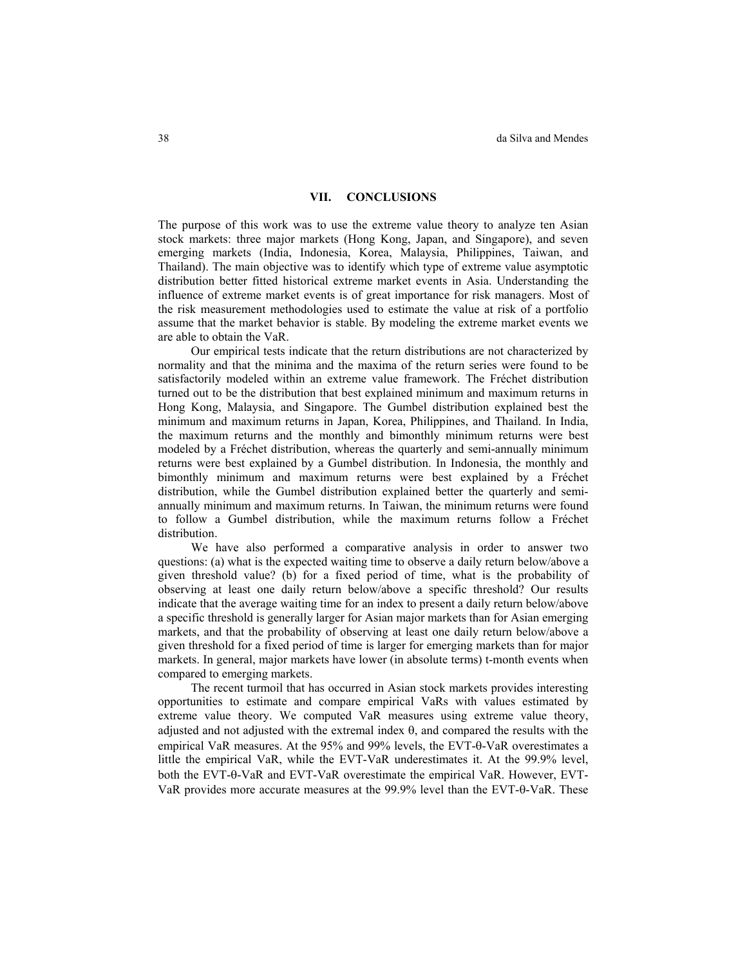#### **VII. CONCLUSIONS**

The purpose of this work was to use the extreme value theory to analyze ten Asian stock markets: three major markets (Hong Kong, Japan, and Singapore), and seven emerging markets (India, Indonesia, Korea, Malaysia, Philippines, Taiwan, and Thailand). The main objective was to identify which type of extreme value asymptotic distribution better fitted historical extreme market events in Asia. Understanding the influence of extreme market events is of great importance for risk managers. Most of the risk measurement methodologies used to estimate the value at risk of a portfolio assume that the market behavior is stable. By modeling the extreme market events we are able to obtain the VaR.

Our empirical tests indicate that the return distributions are not characterized by normality and that the minima and the maxima of the return series were found to be satisfactorily modeled within an extreme value framework. The Fréchet distribution turned out to be the distribution that best explained minimum and maximum returns in Hong Kong, Malaysia, and Singapore. The Gumbel distribution explained best the minimum and maximum returns in Japan, Korea, Philippines, and Thailand. In India, the maximum returns and the monthly and bimonthly minimum returns were best modeled by a Fréchet distribution, whereas the quarterly and semi-annually minimum returns were best explained by a Gumbel distribution. In Indonesia, the monthly and bimonthly minimum and maximum returns were best explained by a Fréchet distribution, while the Gumbel distribution explained better the quarterly and semiannually minimum and maximum returns. In Taiwan, the minimum returns were found to follow a Gumbel distribution, while the maximum returns follow a Fréchet distribution.

We have also performed a comparative analysis in order to answer two questions: (a) what is the expected waiting time to observe a daily return below/above a given threshold value? (b) for a fixed period of time, what is the probability of observing at least one daily return below/above a specific threshold? Our results indicate that the average waiting time for an index to present a daily return below/above a specific threshold is generally larger for Asian major markets than for Asian emerging markets, and that the probability of observing at least one daily return below/above a given threshold for a fixed period of time is larger for emerging markets than for major markets. In general, major markets have lower (in absolute terms) t-month events when compared to emerging markets.

The recent turmoil that has occurred in Asian stock markets provides interesting opportunities to estimate and compare empirical VaRs with values estimated by extreme value theory. We computed VaR measures using extreme value theory, adjusted and not adjusted with the extremal index  $\theta$ , and compared the results with the empirical VaR measures. At the 95% and 99% levels, the EVT-θ-VaR overestimates a little the empirical VaR, while the EVT-VaR underestimates it. At the 99.9% level, both the EVT-θ-VaR and EVT-VaR overestimate the empirical VaR. However, EVT-VaR provides more accurate measures at the 99.9% level than the EVT-θ-VaR. These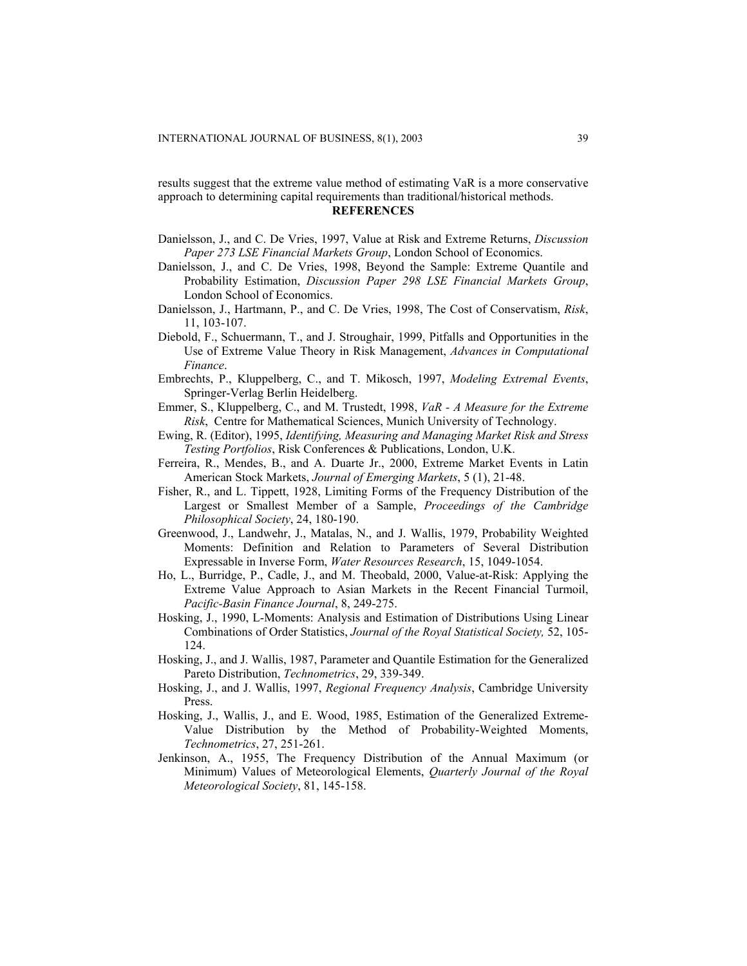results suggest that the extreme value method of estimating VaR is a more conservative approach to determining capital requirements than traditional/historical methods. **REFERENCES** 

- Danielsson, J., and C. De Vries, 1997, Value at Risk and Extreme Returns, *Discussion Paper 273 LSE Financial Markets Group*, London School of Economics.
- Danielsson, J., and C. De Vries, 1998, Beyond the Sample: Extreme Quantile and Probability Estimation, *Discussion Paper 298 LSE Financial Markets Group*, London School of Economics.
- Danielsson, J., Hartmann, P., and C. De Vries, 1998, The Cost of Conservatism, *Risk*, 11, 103-107.
- Diebold, F., Schuermann, T., and J. Stroughair, 1999, Pitfalls and Opportunities in the Use of Extreme Value Theory in Risk Management, *Advances in Computational Finance*.
- Embrechts, P., Kluppelberg, C., and T. Mikosch, 1997, *Modeling Extremal Events*, Springer-Verlag Berlin Heidelberg.
- Emmer, S., Kluppelberg, C., and M. Trustedt, 1998, *VaR A Measure for the Extreme Risk*, Centre for Mathematical Sciences, Munich University of Technology.
- Ewing, R. (Editor), 1995, *Identifying, Measuring and Managing Market Risk and Stress Testing Portfolios*, Risk Conferences & Publications, London, U.K.
- Ferreira, R., Mendes, B., and A. Duarte Jr., 2000, Extreme Market Events in Latin American Stock Markets, *Journal of Emerging Markets*, 5 (1), 21-48.
- Fisher, R., and L. Tippett, 1928, Limiting Forms of the Frequency Distribution of the Largest or Smallest Member of a Sample, *Proceedings of the Cambridge Philosophical Society*, 24, 180-190.
- Greenwood, J., Landwehr, J., Matalas, N., and J. Wallis, 1979, Probability Weighted Moments: Definition and Relation to Parameters of Several Distribution Expressable in Inverse Form, *Water Resources Research*, 15, 1049-1054.
- Ho, L., Burridge, P., Cadle, J., and M. Theobald, 2000, Value-at-Risk: Applying the Extreme Value Approach to Asian Markets in the Recent Financial Turmoil, *Pacific-Basin Finance Journal*, 8, 249-275.
- Hosking, J., 1990, L-Moments: Analysis and Estimation of Distributions Using Linear Combinations of Order Statistics, *Journal of the Royal Statistical Society,* 52, 105- 124.
- Hosking, J., and J. Wallis, 1987, Parameter and Quantile Estimation for the Generalized Pareto Distribution, *Technometrics*, 29, 339-349.
- Hosking, J., and J. Wallis, 1997, *Regional Frequency Analysis*, Cambridge University Press.
- Hosking, J., Wallis, J., and E. Wood, 1985, Estimation of the Generalized Extreme-Value Distribution by the Method of Probability-Weighted Moments, *Technometrics*, 27, 251-261.
- Jenkinson, A., 1955, The Frequency Distribution of the Annual Maximum (or Minimum) Values of Meteorological Elements, *Quarterly Journal of the Royal Meteorological Society*, 81, 145-158.